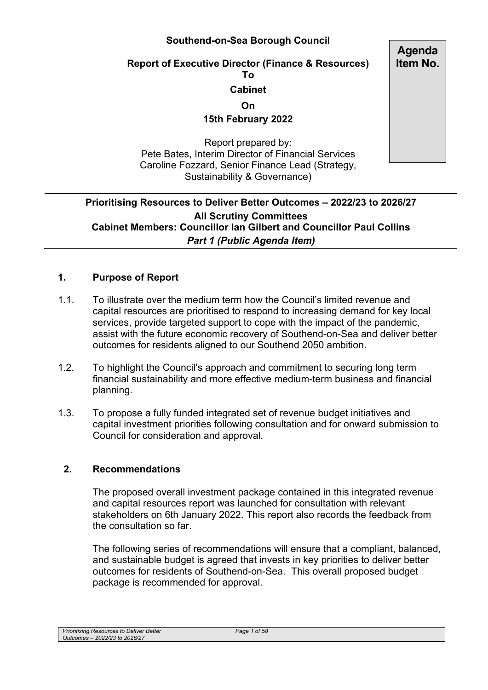### **Southend-on-Sea Borough Council**

#### **Report of Executive Director (Finance & Resources) To**

#### **Cabinet**

**On** 

**15th February 2022** 

Report prepared by: Pete Bates, Interim Director of Financial Services Caroline Fozzard, Senior Finance Lead (Strategy, Sustainability & Governance)

## **Prioritising Resources to Deliver Better Outcomes – 2022/23 to 2026/27 All Scrutiny Committees Cabinet Members: Councillor Ian Gilbert and Councillor Paul Collins**  *Part 1 (Public Agenda Item)*

### **1. Purpose of Report**

- 1.1. To illustrate over the medium term how the Council's limited revenue and capital resources are prioritised to respond to increasing demand for key local services, provide targeted support to cope with the impact of the pandemic, assist with the future economic recovery of Southend-on-Sea and deliver better outcomes for residents aligned to our Southend 2050 ambition.
- 1.2. To highlight the Council's approach and commitment to securing long term financial sustainability and more effective medium-term business and financial planning.
- 1.3. To propose a fully funded integrated set of revenue budget initiatives and capital investment priorities following consultation and for onward submission to Council for consideration and approval.

#### **2. Recommendations**

The proposed overall investment package contained in this integrated revenue and capital resources report was launched for consultation with relevant stakeholders on 6th January 2022. This report also records the feedback from the consultation so far.

The following series of recommendations will ensure that a compliant, balanced, and sustainable budget is agreed that invests in key priorities to deliver better outcomes for residents of Southend-on-Sea. This overall proposed budget package is recommended for approval.

**Agenda Item No.**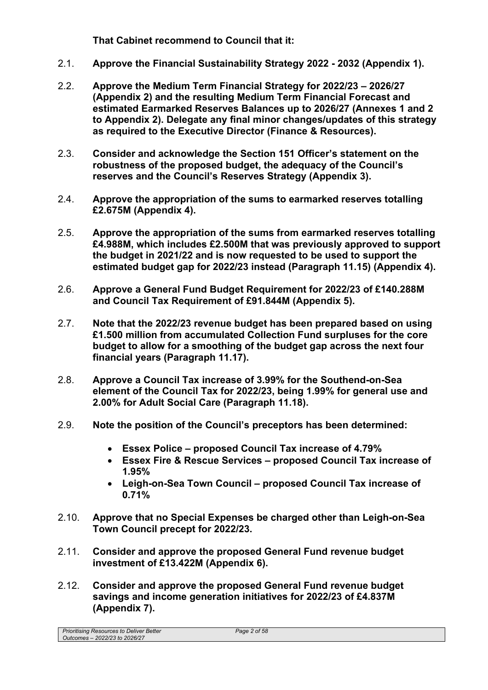**That Cabinet recommend to Council that it:** 

- 2.1. **Approve the Financial Sustainability Strategy 2022 2032 (Appendix 1).**
- 2.2. **Approve the Medium Term Financial Strategy for 2022/23 2026/27 (Appendix 2) and the resulting Medium Term Financial Forecast and estimated Earmarked Reserves Balances up to 2026/27 (Annexes 1 and 2 to Appendix 2). Delegate any final minor changes/updates of this strategy as required to the Executive Director (Finance & Resources).**
- 2.3. **Consider and acknowledge the Section 151 Officer's statement on the robustness of the proposed budget, the adequacy of the Council's reserves and the Council's Reserves Strategy (Appendix 3).**
- 2.4. **Approve the appropriation of the sums to earmarked reserves totalling £2.675M (Appendix 4).**
- 2.5. **Approve the appropriation of the sums from earmarked reserves totalling £4.988M, which includes £2.500M that was previously approved to support the budget in 2021/22 and is now requested to be used to support the estimated budget gap for 2022/23 instead (Paragraph 11.15) (Appendix 4).**
- 2.6. **Approve a General Fund Budget Requirement for 2022/23 of £140.288M and Council Tax Requirement of £91.844M (Appendix 5).**
- 2.7. **Note that the 2022/23 revenue budget has been prepared based on using £1.500 million from accumulated Collection Fund surpluses for the core budget to allow for a smoothing of the budget gap across the next four financial years (Paragraph 11.17).**
- 2.8. **Approve a Council Tax increase of 3.99% for the Southend-on-Sea element of the Council Tax for 2022/23, being 1.99% for general use and 2.00% for Adult Social Care (Paragraph 11.18).**
- 2.9. **Note the position of the Council's preceptors has been determined:** 
	- **Essex Police proposed Council Tax increase of 4.79%**
	- **Essex Fire & Rescue Services proposed Council Tax increase of 1.95%**
	- **Leigh-on-Sea Town Council proposed Council Tax increase of 0.71%**
- 2.10. **Approve that no Special Expenses be charged other than Leigh-on-Sea Town Council precept for 2022/23.**
- 2.11. **Consider and approve the proposed General Fund revenue budget investment of £13.422M (Appendix 6).**
- 2.12. **Consider and approve the proposed General Fund revenue budget savings and income generation initiatives for 2022/23 of £4.837M (Appendix 7).**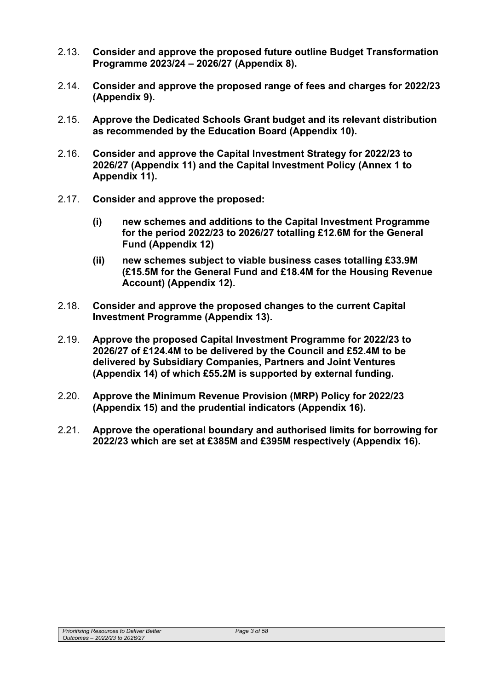- 2.13. **Consider and approve the proposed future outline Budget Transformation Programme 2023/24 – 2026/27 (Appendix 8).**
- 2.14. **Consider and approve the proposed range of fees and charges for 2022/23 (Appendix 9).**
- 2.15. **Approve the Dedicated Schools Grant budget and its relevant distribution as recommended by the Education Board (Appendix 10).**
- 2.16. **Consider and approve the Capital Investment Strategy for 2022/23 to 2026/27 (Appendix 11) and the Capital Investment Policy (Annex 1 to Appendix 11).**
- 2.17. **Consider and approve the proposed:** 
	- **(i) new schemes and additions to the Capital Investment Programme for the period 2022/23 to 2026/27 totalling £12.6M for the General Fund (Appendix 12)**
	- **(ii) new schemes subject to viable business cases totalling £33.9M (£15.5M for the General Fund and £18.4M for the Housing Revenue Account) (Appendix 12).**
- 2.18. **Consider and approve the proposed changes to the current Capital Investment Programme (Appendix 13).**
- 2.19. **Approve the proposed Capital Investment Programme for 2022/23 to 2026/27 of £124.4M to be delivered by the Council and £52.4M to be delivered by Subsidiary Companies, Partners and Joint Ventures (Appendix 14) of which £55.2M is supported by external funding.**
- 2.20. **Approve the Minimum Revenue Provision (MRP) Policy for 2022/23 (Appendix 15) and the prudential indicators (Appendix 16).**
- 2.21. **Approve the operational boundary and authorised limits for borrowing for 2022/23 which are set at £385M and £395M respectively (Appendix 16).**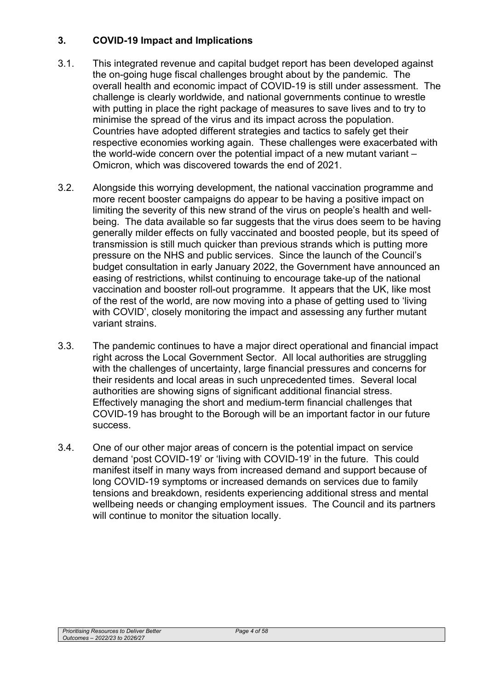## **3. COVID-19 Impact and Implications**

- 3.1. This integrated revenue and capital budget report has been developed against the on-going huge fiscal challenges brought about by the pandemic. The overall health and economic impact of COVID-19 is still under assessment. The challenge is clearly worldwide, and national governments continue to wrestle with putting in place the right package of measures to save lives and to try to minimise the spread of the virus and its impact across the population. Countries have adopted different strategies and tactics to safely get their respective economies working again. These challenges were exacerbated with the world-wide concern over the potential impact of a new mutant variant – Omicron, which was discovered towards the end of 2021.
- 3.2. Alongside this worrying development, the national vaccination programme and more recent booster campaigns do appear to be having a positive impact on limiting the severity of this new strand of the virus on people's health and wellbeing. The data available so far suggests that the virus does seem to be having generally milder effects on fully vaccinated and boosted people, but its speed of transmission is still much quicker than previous strands which is putting more pressure on the NHS and public services. Since the launch of the Council's budget consultation in early January 2022, the Government have announced an easing of restrictions, whilst continuing to encourage take-up of the national vaccination and booster roll-out programme. It appears that the UK, like most of the rest of the world, are now moving into a phase of getting used to 'living with COVID', closely monitoring the impact and assessing any further mutant variant strains.
- 3.3. The pandemic continues to have a major direct operational and financial impact right across the Local Government Sector. All local authorities are struggling with the challenges of uncertainty, large financial pressures and concerns for their residents and local areas in such unprecedented times. Several local authorities are showing signs of significant additional financial stress. Effectively managing the short and medium-term financial challenges that COVID-19 has brought to the Borough will be an important factor in our future success.
- 3.4. One of our other major areas of concern is the potential impact on service demand 'post COVID-19' or 'living with COVID-19' in the future. This could manifest itself in many ways from increased demand and support because of long COVID-19 symptoms or increased demands on services due to family tensions and breakdown, residents experiencing additional stress and mental wellbeing needs or changing employment issues. The Council and its partners will continue to monitor the situation locally.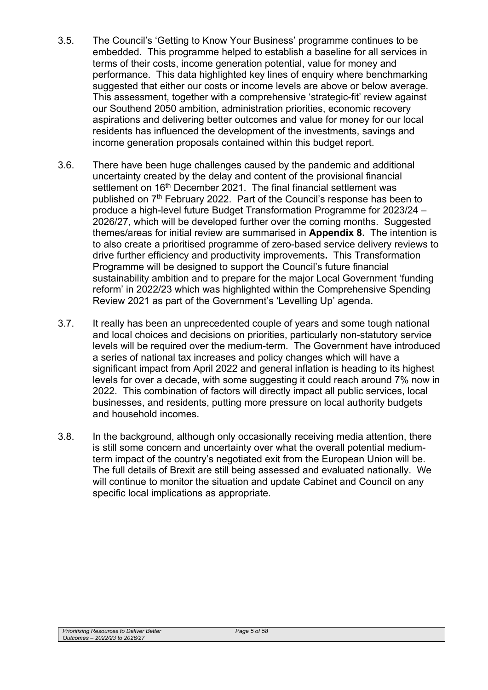- 3.5. The Council's 'Getting to Know Your Business' programme continues to be embedded. This programme helped to establish a baseline for all services in terms of their costs, income generation potential, value for money and performance. This data highlighted key lines of enquiry where benchmarking suggested that either our costs or income levels are above or below average. This assessment, together with a comprehensive 'strategic-fit' review against our Southend 2050 ambition, administration priorities, economic recovery aspirations and delivering better outcomes and value for money for our local residents has influenced the development of the investments, savings and income generation proposals contained within this budget report.
- 3.6. There have been huge challenges caused by the pandemic and additional uncertainty created by the delay and content of the provisional financial settlement on 16<sup>th</sup> December 2021. The final financial settlement was published on 7<sup>th</sup> February 2022. Part of the Council's response has been to produce a high-level future Budget Transformation Programme for 2023/24 – 2026/27, which will be developed further over the coming months. Suggested themes/areas for initial review are summarised in **Appendix 8.** The intention is to also create a prioritised programme of zero-based service delivery reviews to drive further efficiency and productivity improvements**.** This Transformation Programme will be designed to support the Council's future financial sustainability ambition and to prepare for the major Local Government 'funding reform' in 2022/23 which was highlighted within the Comprehensive Spending Review 2021 as part of the Government's 'Levelling Up' agenda.
- 3.7. It really has been an unprecedented couple of years and some tough national and local choices and decisions on priorities, particularly non-statutory service levels will be required over the medium-term. The Government have introduced a series of national tax increases and policy changes which will have a significant impact from April 2022 and general inflation is heading to its highest levels for over a decade, with some suggesting it could reach around 7% now in 2022. This combination of factors will directly impact all public services, local businesses, and residents, putting more pressure on local authority budgets and household incomes.
- 3.8. In the background, although only occasionally receiving media attention, there is still some concern and uncertainty over what the overall potential mediumterm impact of the country's negotiated exit from the European Union will be. The full details of Brexit are still being assessed and evaluated nationally. We will continue to monitor the situation and update Cabinet and Council on any specific local implications as appropriate.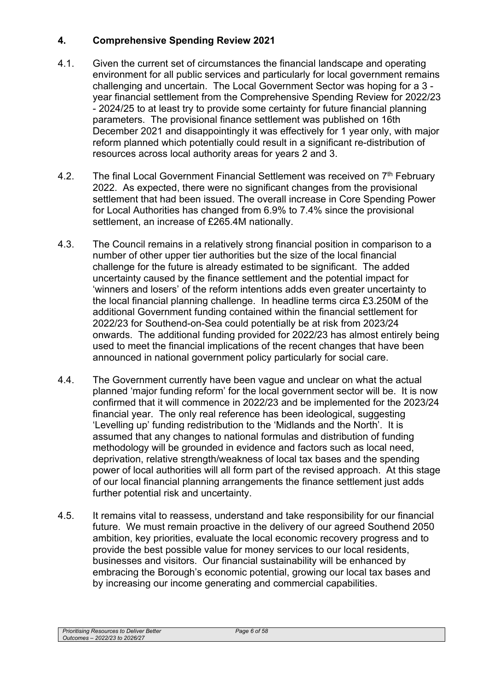## **4. Comprehensive Spending Review 2021**

- 4.1. Given the current set of circumstances the financial landscape and operating environment for all public services and particularly for local government remains challenging and uncertain. The Local Government Sector was hoping for a 3 year financial settlement from the Comprehensive Spending Review for 2022/23 - 2024/25 to at least try to provide some certainty for future financial planning parameters. The provisional finance settlement was published on 16th December 2021 and disappointingly it was effectively for 1 year only, with major reform planned which potentially could result in a significant re-distribution of resources across local authority areas for years 2 and 3.
- 4.2. The final Local Government Financial Settlement was received on 7<sup>th</sup> February 2022. As expected, there were no significant changes from the provisional settlement that had been issued. The overall increase in Core Spending Power for Local Authorities has changed from 6.9% to 7.4% since the provisional settlement, an increase of £265.4M nationally.
- 4.3. The Council remains in a relatively strong financial position in comparison to a number of other upper tier authorities but the size of the local financial challenge for the future is already estimated to be significant. The added uncertainty caused by the finance settlement and the potential impact for 'winners and losers' of the reform intentions adds even greater uncertainty to the local financial planning challenge. In headline terms circa £3.250M of the additional Government funding contained within the financial settlement for 2022/23 for Southend-on-Sea could potentially be at risk from 2023/24 onwards. The additional funding provided for 2022/23 has almost entirely being used to meet the financial implications of the recent changes that have been announced in national government policy particularly for social care.
- 4.4. The Government currently have been vague and unclear on what the actual planned 'major funding reform' for the local government sector will be. It is now confirmed that it will commence in 2022/23 and be implemented for the 2023/24 financial year. The only real reference has been ideological, suggesting 'Levelling up' funding redistribution to the 'Midlands and the North'. It is assumed that any changes to national formulas and distribution of funding methodology will be grounded in evidence and factors such as local need, deprivation, relative strength/weakness of local tax bases and the spending power of local authorities will all form part of the revised approach. At this stage of our local financial planning arrangements the finance settlement just adds further potential risk and uncertainty.
- 4.5. It remains vital to reassess, understand and take responsibility for our financial future. We must remain proactive in the delivery of our agreed Southend 2050 ambition, key priorities, evaluate the local economic recovery progress and to provide the best possible value for money services to our local residents, businesses and visitors. Our financial sustainability will be enhanced by embracing the Borough's economic potential, growing our local tax bases and by increasing our income generating and commercial capabilities.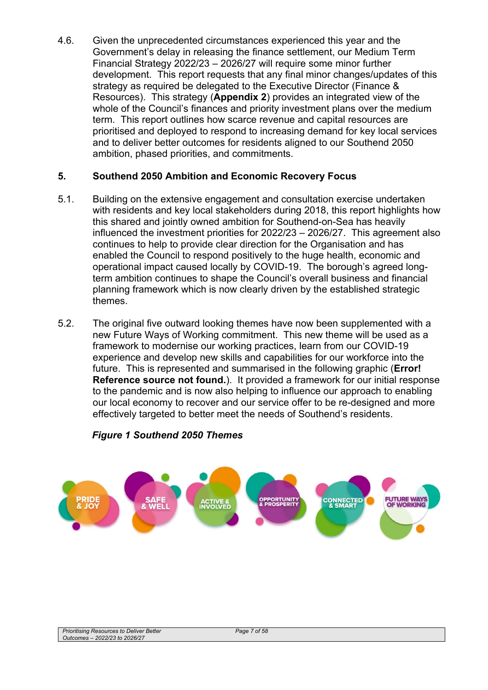4.6. Given the unprecedented circumstances experienced this year and the Government's delay in releasing the finance settlement, our Medium Term Financial Strategy 2022/23 – 2026/27 will require some minor further development. This report requests that any final minor changes/updates of this strategy as required be delegated to the Executive Director (Finance & Resources). This strategy (**Appendix 2**) provides an integrated view of the whole of the Council's finances and priority investment plans over the medium term. This report outlines how scarce revenue and capital resources are prioritised and deployed to respond to increasing demand for key local services and to deliver better outcomes for residents aligned to our Southend 2050 ambition, phased priorities, and commitments.

### **5. Southend 2050 Ambition and Economic Recovery Focus**

- 5.1. Building on the extensive engagement and consultation exercise undertaken with residents and key local stakeholders during 2018, this report highlights how this shared and jointly owned ambition for Southend-on-Sea has heavily influenced the investment priorities for 2022/23 – 2026/27. This agreement also continues to help to provide clear direction for the Organisation and has enabled the Council to respond positively to the huge health, economic and operational impact caused locally by COVID-19. The borough's agreed longterm ambition continues to shape the Council's overall business and financial planning framework which is now clearly driven by the established strategic themes.
- 5.2. The original five outward looking themes have now been supplemented with a new Future Ways of Working commitment. This new theme will be used as a framework to modernise our working practices, learn from our COVID-19 experience and develop new skills and capabilities for our workforce into the future. This is represented and summarised in the following graphic (**Error! Reference source not found.**). It provided a framework for our initial response to the pandemic and is now also helping to influence our approach to enabling our local economy to recover and our service offer to be re-designed and more effectively targeted to better meet the needs of Southend's residents.

## *Figure 1 Southend 2050 Themes*

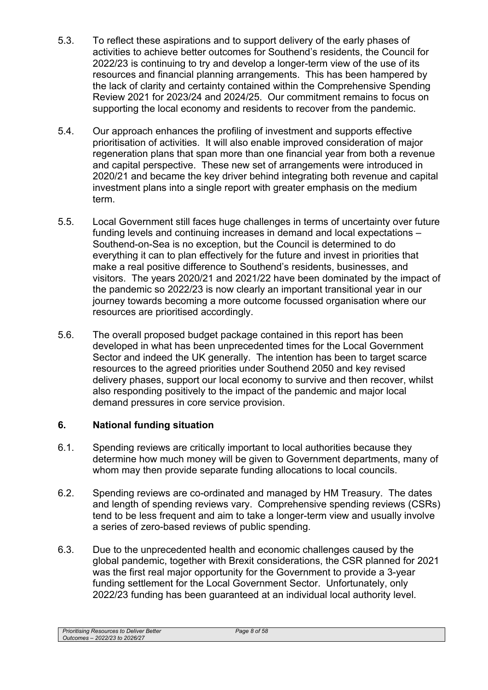- 5.3. To reflect these aspirations and to support delivery of the early phases of activities to achieve better outcomes for Southend's residents, the Council for 2022/23 is continuing to try and develop a longer-term view of the use of its resources and financial planning arrangements. This has been hampered by the lack of clarity and certainty contained within the Comprehensive Spending Review 2021 for 2023/24 and 2024/25. Our commitment remains to focus on supporting the local economy and residents to recover from the pandemic.
- 5.4. Our approach enhances the profiling of investment and supports effective prioritisation of activities. It will also enable improved consideration of major regeneration plans that span more than one financial year from both a revenue and capital perspective. These new set of arrangements were introduced in 2020/21 and became the key driver behind integrating both revenue and capital investment plans into a single report with greater emphasis on the medium term.
- 5.5. Local Government still faces huge challenges in terms of uncertainty over future funding levels and continuing increases in demand and local expectations – Southend-on-Sea is no exception, but the Council is determined to do everything it can to plan effectively for the future and invest in priorities that make a real positive difference to Southend's residents, businesses, and visitors. The years 2020/21 and 2021/22 have been dominated by the impact of the pandemic so 2022/23 is now clearly an important transitional year in our journey towards becoming a more outcome focussed organisation where our resources are prioritised accordingly.
- 5.6. The overall proposed budget package contained in this report has been developed in what has been unprecedented times for the Local Government Sector and indeed the UK generally. The intention has been to target scarce resources to the agreed priorities under Southend 2050 and key revised delivery phases, support our local economy to survive and then recover, whilst also responding positively to the impact of the pandemic and major local demand pressures in core service provision.

# **6. National funding situation**

- 6.1. Spending reviews are critically important to local authorities because they determine how much money will be given to Government departments, many of whom may then provide separate funding allocations to local councils.
- 6.2. Spending reviews are co-ordinated and managed by HM Treasury. The dates and length of spending reviews vary. Comprehensive spending reviews (CSRs) tend to be less frequent and aim to take a longer-term view and usually involve a series of zero-based reviews of public spending.
- 6.3. Due to the unprecedented health and economic challenges caused by the global pandemic, together with Brexit considerations, the CSR planned for 2021 was the first real major opportunity for the Government to provide a 3-year funding settlement for the Local Government Sector. Unfortunately, only 2022/23 funding has been guaranteed at an individual local authority level.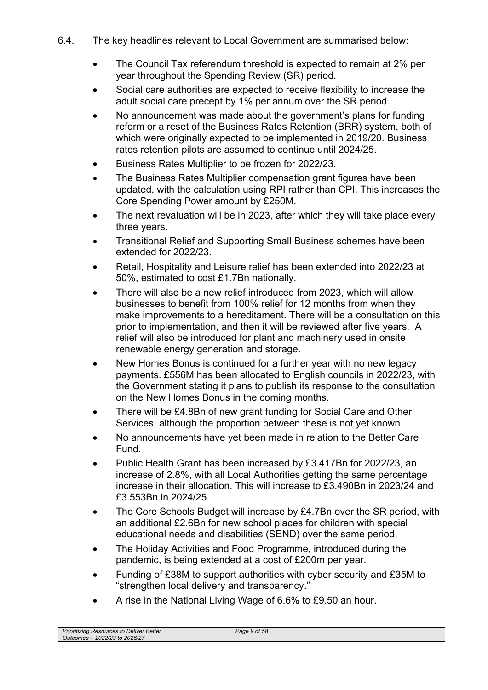- 6.4. The key headlines relevant to Local Government are summarised below:
	- The Council Tax referendum threshold is expected to remain at 2% per year throughout the Spending Review (SR) period.
	- Social care authorities are expected to receive flexibility to increase the adult social care precept by 1% per annum over the SR period.
	- No announcement was made about the government's plans for funding reform or a reset of the Business Rates Retention (BRR) system, both of which were originally expected to be implemented in 2019/20. Business rates retention pilots are assumed to continue until 2024/25.
	- Business Rates Multiplier to be frozen for 2022/23.
	- The Business Rates Multiplier compensation grant figures have been updated, with the calculation using RPI rather than CPI. This increases the Core Spending Power amount by £250M.
	- The next revaluation will be in 2023, after which they will take place every three years.
	- Transitional Relief and Supporting Small Business schemes have been extended for 2022/23.
	- Retail, Hospitality and Leisure relief has been extended into 2022/23 at 50%, estimated to cost £1.7Bn nationally.
	- There will also be a new relief introduced from 2023, which will allow businesses to benefit from 100% relief for 12 months from when they make improvements to a hereditament. There will be a consultation on this prior to implementation, and then it will be reviewed after five years. A relief will also be introduced for plant and machinery used in onsite renewable energy generation and storage.
	- New Homes Bonus is continued for a further year with no new legacy payments. £556M has been allocated to English councils in 2022/23, with the Government stating it plans to publish its response to the consultation on the New Homes Bonus in the coming months.
	- There will be £4.8Bn of new grant funding for Social Care and Other Services, although the proportion between these is not yet known.
	- No announcements have yet been made in relation to the Better Care Fund.
	- Public Health Grant has been increased by £3.417Bn for 2022/23, an increase of 2.8%, with all Local Authorities getting the same percentage increase in their allocation. This will increase to £3.490Bn in 2023/24 and £3.553Bn in 2024/25.
	- The Core Schools Budget will increase by £4.7Bn over the SR period, with an additional £2.6Bn for new school places for children with special educational needs and disabilities (SEND) over the same period.
	- The Holiday Activities and Food Programme, introduced during the pandemic, is being extended at a cost of £200m per year.
	- Funding of £38M to support authorities with cyber security and £35M to "strengthen local delivery and transparency."
	- A rise in the National Living Wage of 6.6% to £9.50 an hour.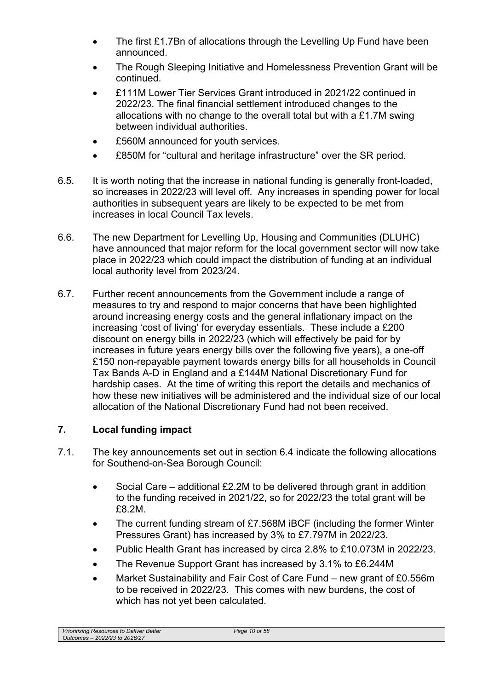- The first £1.7Bn of allocations through the Levelling Up Fund have been announced.
- The Rough Sleeping Initiative and Homelessness Prevention Grant will be continued.
- £111M Lower Tier Services Grant introduced in 2021/22 continued in 2022/23. The final financial settlement introduced changes to the allocations with no change to the overall total but with a £1.7M swing between individual authorities.
- £560M announced for youth services.
- £850M for "cultural and heritage infrastructure" over the SR period.
- 6.5. It is worth noting that the increase in national funding is generally front-loaded, so increases in 2022/23 will level off. Any increases in spending power for local authorities in subsequent years are likely to be expected to be met from increases in local Council Tax levels.
- 6.6. The new Department for Levelling Up, Housing and Communities (DLUHC) have announced that major reform for the local government sector will now take place in 2022/23 which could impact the distribution of funding at an individual local authority level from 2023/24.
- 6.7. Further recent announcements from the Government include a range of measures to try and respond to major concerns that have been highlighted around increasing energy costs and the general inflationary impact on the increasing 'cost of living' for everyday essentials. These include a £200 discount on energy bills in 2022/23 (which will effectively be paid for by increases in future years energy bills over the following five years), a one-off £150 non-repayable payment towards energy bills for all households in Council Tax Bands A-D in England and a £144M National Discretionary Fund for hardship cases. At the time of writing this report the details and mechanics of how these new initiatives will be administered and the individual size of our local allocation of the National Discretionary Fund had not been received.

## **7. Local funding impact**

- 7.1. The key announcements set out in section 6.4 indicate the following allocations for Southend-on-Sea Borough Council:
	- Social Care additional £2.2M to be delivered through grant in addition to the funding received in 2021/22, so for 2022/23 the total grant will be £8.2M.
	- The current funding stream of £7.568M iBCF (including the former Winter Pressures Grant) has increased by 3% to £7.797M in 2022/23.
	- Public Health Grant has increased by circa 2.8% to £10.073M in 2022/23.
	- The Revenue Support Grant has increased by 3.1% to £6.244M
	- Market Sustainability and Fair Cost of Care Fund new grant of £0.556m to be received in 2022/23. This comes with new burdens, the cost of which has not yet been calculated.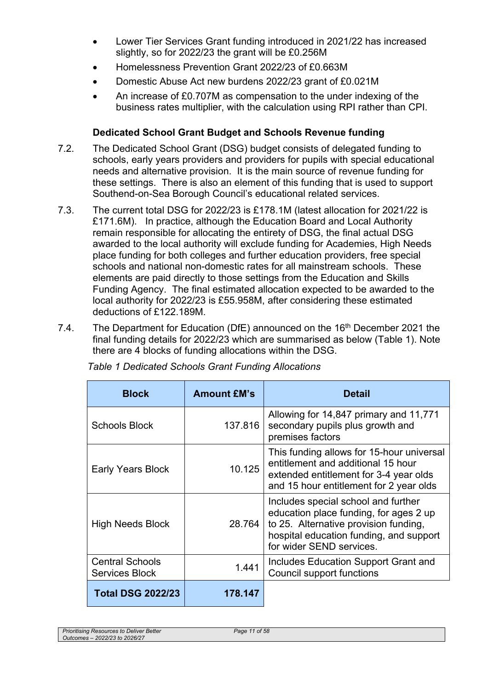- Lower Tier Services Grant funding introduced in 2021/22 has increased slightly, so for 2022/23 the grant will be £0.256M
- Homelessness Prevention Grant 2022/23 of £0.663M
- Domestic Abuse Act new burdens 2022/23 grant of £0.021M
- An increase of £0.707M as compensation to the under indexing of the business rates multiplier, with the calculation using RPI rather than CPI.

# **Dedicated School Grant Budget and Schools Revenue funding**

- 7.2. The Dedicated School Grant (DSG) budget consists of delegated funding to schools, early years providers and providers for pupils with special educational needs and alternative provision. It is the main source of revenue funding for these settings. There is also an element of this funding that is used to support Southend-on-Sea Borough Council's educational related services.
- 7.3. The current total DSG for 2022/23 is £178.1M (latest allocation for 2021/22 is £171.6M). In practice, although the Education Board and Local Authority remain responsible for allocating the entirety of DSG, the final actual DSG awarded to the local authority will exclude funding for Academies, High Needs place funding for both colleges and further education providers, free special schools and national non-domestic rates for all mainstream schools. These elements are paid directly to those settings from the Education and Skills Funding Agency. The final estimated allocation expected to be awarded to the local authority for 2022/23 is £55.958M, after considering these estimated deductions of £122.189M.
- 7.4. The Department for Education (DfE) announced on the 16<sup>th</sup> December 2021 the final funding details for 2022/23 which are summarised as below (Table 1). Note there are 4 blocks of funding allocations within the DSG.

| <b>Block</b>                                    | <b>Amount £M's</b> | <b>Detail</b>                                                                                                                                                                                 |
|-------------------------------------------------|--------------------|-----------------------------------------------------------------------------------------------------------------------------------------------------------------------------------------------|
| <b>Schools Block</b>                            | 137.816            | Allowing for 14,847 primary and 11,771<br>secondary pupils plus growth and<br>premises factors                                                                                                |
| <b>Early Years Block</b>                        | 10.125             | This funding allows for 15-hour universal<br>entitlement and additional 15 hour<br>extended entitlement for 3-4 year olds<br>and 15 hour entitlement for 2 year olds                          |
| <b>High Needs Block</b>                         | 28.764             | Includes special school and further<br>education place funding, for ages 2 up<br>to 25. Alternative provision funding,<br>hospital education funding, and support<br>for wider SEND services. |
| <b>Central Schools</b><br><b>Services Block</b> | 1.441              | Includes Education Support Grant and<br><b>Council support functions</b>                                                                                                                      |
| <b>Total DSG 2022/23</b>                        | 178.147            |                                                                                                                                                                                               |

*Table 1 Dedicated Schools Grant Funding Allocations*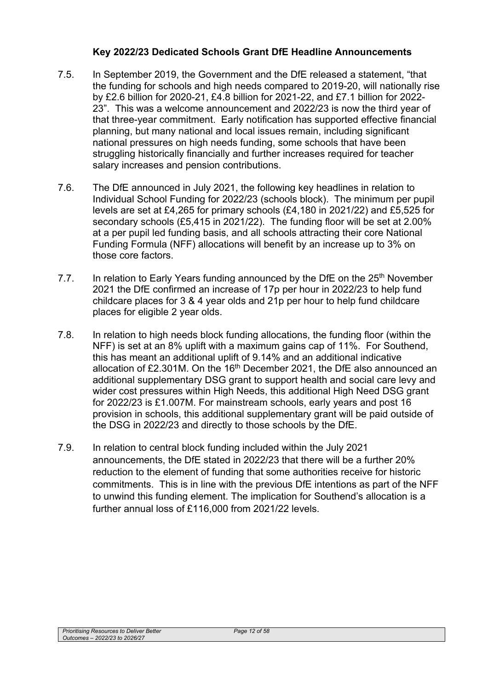## **Key 2022/23 Dedicated Schools Grant DfE Headline Announcements**

- 7.5. In September 2019, the Government and the DfE released a statement, "that the funding for schools and high needs compared to 2019-20, will nationally rise by £2.6 billion for 2020-21, £4.8 billion for 2021-22, and £7.1 billion for 2022- 23". This was a welcome announcement and 2022/23 is now the third year of that three-year commitment. Early notification has supported effective financial planning, but many national and local issues remain, including significant national pressures on high needs funding, some schools that have been struggling historically financially and further increases required for teacher salary increases and pension contributions.
- 7.6. The DfE announced in July 2021, the following key headlines in relation to Individual School Funding for 2022/23 (schools block). The minimum per pupil levels are set at £4,265 for primary schools (£4,180 in 2021/22) and £5,525 for secondary schools (£5,415 in 2021/22). The funding floor will be set at 2.00% at a per pupil led funding basis, and all schools attracting their core National Funding Formula (NFF) allocations will benefit by an increase up to 3% on those core factors.
- 7.7. In relation to Early Years funding announced by the DfE on the 25<sup>th</sup> November 2021 the DfE confirmed an increase of 17p per hour in 2022/23 to help fund childcare places for 3 & 4 year olds and 21p per hour to help fund childcare places for eligible 2 year olds.
- 7.8. In relation to high needs block funding allocations, the funding floor (within the NFF) is set at an 8% uplift with a maximum gains cap of 11%. For Southend, this has meant an additional uplift of 9.14% and an additional indicative allocation of £2.301M. On the 16<sup>th</sup> December 2021, the DfE also announced an additional supplementary DSG grant to support health and social care levy and wider cost pressures within High Needs, this additional High Need DSG grant for 2022/23 is £1.007M. For mainstream schools, early years and post 16 provision in schools, this additional supplementary grant will be paid outside of the DSG in 2022/23 and directly to those schools by the DfE.
- 7.9. In relation to central block funding included within the July 2021 announcements, the DfE stated in 2022/23 that there will be a further 20% reduction to the element of funding that some authorities receive for historic commitments. This is in line with the previous DfE intentions as part of the NFF to unwind this funding element. The implication for Southend's allocation is a further annual loss of £116,000 from 2021/22 levels.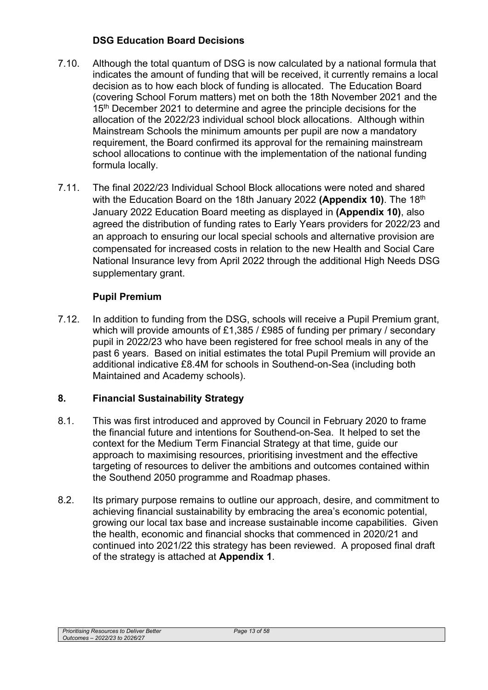## **DSG Education Board Decisions**

- 7.10. Although the total quantum of DSG is now calculated by a national formula that indicates the amount of funding that will be received, it currently remains a local decision as to how each block of funding is allocated. The Education Board (covering School Forum matters) met on both the 18th November 2021 and the 15<sup>th</sup> December 2021 to determine and agree the principle decisions for the allocation of the 2022/23 individual school block allocations. Although within Mainstream Schools the minimum amounts per pupil are now a mandatory requirement, the Board confirmed its approval for the remaining mainstream school allocations to continue with the implementation of the national funding formula locally.
- 7.11. The final 2022/23 Individual School Block allocations were noted and shared with the Education Board on the 18th January 2022 (Appendix 10). The 18<sup>th</sup> January 2022 Education Board meeting as displayed in **(Appendix 10)**, also agreed the distribution of funding rates to Early Years providers for 2022/23 and an approach to ensuring our local special schools and alternative provision are compensated for increased costs in relation to the new Health and Social Care National Insurance levy from April 2022 through the additional High Needs DSG supplementary grant.

# **Pupil Premium**

7.12. In addition to funding from the DSG, schools will receive a Pupil Premium grant, which will provide amounts of £1,385 / £985 of funding per primary / secondary pupil in 2022/23 who have been registered for free school meals in any of the past 6 years. Based on initial estimates the total Pupil Premium will provide an additional indicative £8.4M for schools in Southend-on-Sea (including both Maintained and Academy schools).

# **8. Financial Sustainability Strategy**

- 8.1. This was first introduced and approved by Council in February 2020 to frame the financial future and intentions for Southend-on-Sea. It helped to set the context for the Medium Term Financial Strategy at that time, guide our approach to maximising resources, prioritising investment and the effective targeting of resources to deliver the ambitions and outcomes contained within the Southend 2050 programme and Roadmap phases.
- 8.2. Its primary purpose remains to outline our approach, desire, and commitment to achieving financial sustainability by embracing the area's economic potential, growing our local tax base and increase sustainable income capabilities. Given the health, economic and financial shocks that commenced in 2020/21 and continued into 2021/22 this strategy has been reviewed. A proposed final draft of the strategy is attached at **Appendix 1**.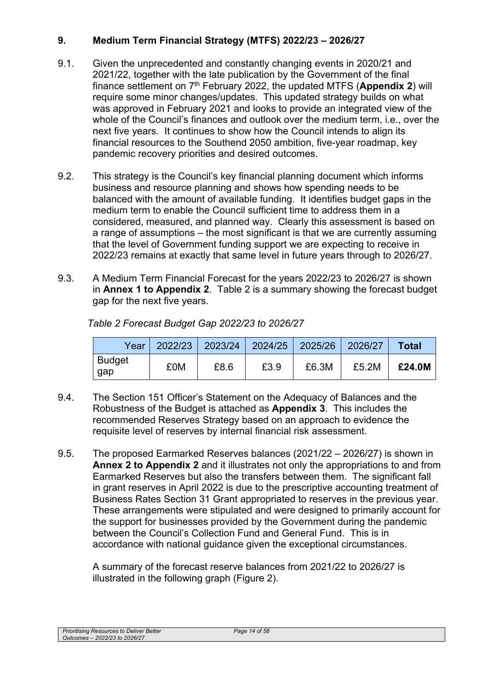# **9. Medium Term Financial Strategy (MTFS) 2022/23 – 2026/27**

- 9.1. Given the unprecedented and constantly changing events in 2020/21 and 2021/22, together with the late publication by the Government of the final finance settlement on 7th February 2022, the updated MTFS (**Appendix 2**) will require some minor changes/updates. This updated strategy builds on what was approved in February 2021 and looks to provide an integrated view of the whole of the Council's finances and outlook over the medium term, i.e., over the next five years. It continues to show how the Council intends to align its financial resources to the Southend 2050 ambition, five-year roadmap, key pandemic recovery priorities and desired outcomes.
- 9.2. This strategy is the Council's key financial planning document which informs business and resource planning and shows how spending needs to be balanced with the amount of available funding. It identifies budget gaps in the medium term to enable the Council sufficient time to address them in a considered, measured, and planned way. Clearly this assessment is based on a range of assumptions – the most significant is that we are currently assuming that the level of Government funding support we are expecting to receive in 2022/23 remains at exactly that same level in future years through to 2026/27.
- 9.3. A Medium Term Financial Forecast for the years 2022/23 to 2026/27 is shown in **Annex 1 to Appendix 2**. Table 2 is a summary showing the forecast budget gap for the next five years.

| Year I        |     | 2022/23 2023/24 2024/25 2025/26 |      |       | 2026/27 | <b>Total</b> |
|---------------|-----|---------------------------------|------|-------|---------|--------------|
| Budget<br>gap | £0M | £8.6                            | £3.9 | £6.3M | £5.2M   | £24.0M       |

*Table 2 Forecast Budget Gap 2022/23 to 2026/27* 

- 9.4. The Section 151 Officer's Statement on the Adequacy of Balances and the Robustness of the Budget is attached as **Appendix 3**. This includes the recommended Reserves Strategy based on an approach to evidence the requisite level of reserves by internal financial risk assessment.
- 9.5. The proposed Earmarked Reserves balances (2021/22 2026/27) is shown in **Annex 2 to Appendix 2** and it illustrates not only the appropriations to and from Earmarked Reserves but also the transfers between them. The significant fall in grant reserves in April 2022 is due to the prescriptive accounting treatment of Business Rates Section 31 Grant appropriated to reserves in the previous year. These arrangements were stipulated and were designed to primarily account for the support for businesses provided by the Government during the pandemic between the Council's Collection Fund and General Fund. This is in accordance with national guidance given the exceptional circumstances.

A summary of the forecast reserve balances from 2021/22 to 2026/27 is illustrated in the following graph (Figure 2).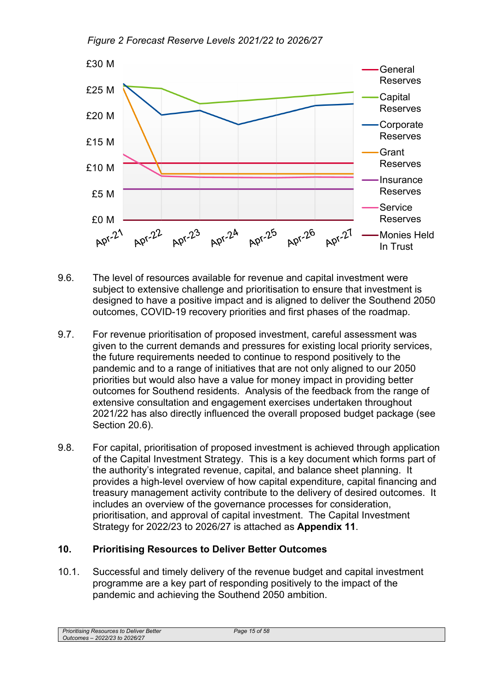*Figure 2 Forecast Reserve Levels 2021/22 to 2026/27* 



- 9.6. The level of resources available for revenue and capital investment were subject to extensive challenge and prioritisation to ensure that investment is designed to have a positive impact and is aligned to deliver the Southend 2050 outcomes, COVID-19 recovery priorities and first phases of the roadmap.
- 9.7. For revenue prioritisation of proposed investment, careful assessment was given to the current demands and pressures for existing local priority services, the future requirements needed to continue to respond positively to the pandemic and to a range of initiatives that are not only aligned to our 2050 priorities but would also have a value for money impact in providing better outcomes for Southend residents. Analysis of the feedback from the range of extensive consultation and engagement exercises undertaken throughout 2021/22 has also directly influenced the overall proposed budget package (see Section 20.6).
- 9.8. For capital, prioritisation of proposed investment is achieved through application of the Capital Investment Strategy. This is a key document which forms part of the authority's integrated revenue, capital, and balance sheet planning. It provides a high-level overview of how capital expenditure, capital financing and treasury management activity contribute to the delivery of desired outcomes. It includes an overview of the governance processes for consideration, prioritisation, and approval of capital investment. The Capital Investment Strategy for 2022/23 to 2026/27 is attached as **Appendix 11**.

## **10. Prioritising Resources to Deliver Better Outcomes**

10.1. Successful and timely delivery of the revenue budget and capital investment programme are a key part of responding positively to the impact of the pandemic and achieving the Southend 2050 ambition.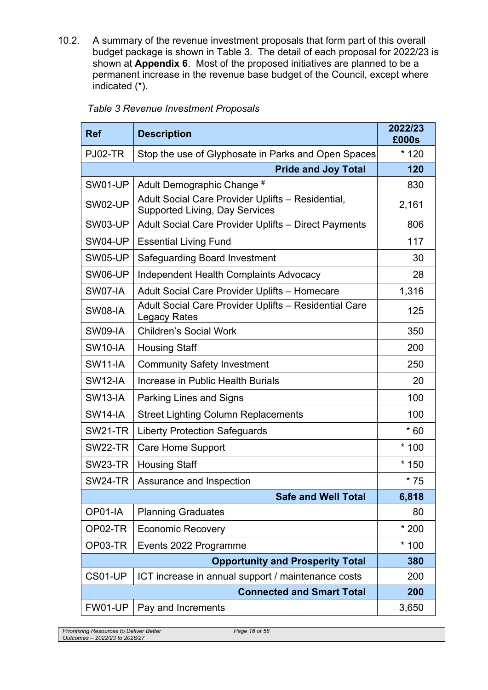10.2. A summary of the revenue investment proposals that form part of this overall budget package is shown in Table 3. The detail of each proposal for 2022/23 is shown at **Appendix 6**. Most of the proposed initiatives are planned to be a permanent increase in the revenue base budget of the Council, except where indicated (\*).

| <b>Ref</b>     | <b>Description</b>                                                                         | 2022/23<br>£000s |
|----------------|--------------------------------------------------------------------------------------------|------------------|
| <b>PJ02-TR</b> | Stop the use of Glyphosate in Parks and Open Spaces                                        | $*120$           |
|                | <b>Pride and Joy Total</b>                                                                 | 120              |
| SW01-UP        | Adult Demographic Change #                                                                 | 830              |
| SW02-UP        | Adult Social Care Provider Uplifts - Residential,<br><b>Supported Living, Day Services</b> | 2,161            |
| SW03-UP        | Adult Social Care Provider Uplifts - Direct Payments                                       | 806              |
| SW04-UP        | <b>Essential Living Fund</b>                                                               | 117              |
| SW05-UP        | <b>Safeguarding Board Investment</b>                                                       | 30               |
| SW06-UP        | <b>Independent Health Complaints Advocacy</b>                                              | 28               |
| SW07-IA        | Adult Social Care Provider Uplifts - Homecare                                              | 1,316            |
| <b>SW08-IA</b> | Adult Social Care Provider Uplifts - Residential Care<br><b>Legacy Rates</b>               | 125              |
| SW09-IA        | <b>Children's Social Work</b>                                                              | 350              |
| <b>SW10-IA</b> | <b>Housing Staff</b>                                                                       | 200              |
| <b>SW11-IA</b> | <b>Community Safety Investment</b>                                                         | 250              |
| <b>SW12-IA</b> | Increase in Public Health Burials                                                          | 20               |
| <b>SW13-IA</b> | <b>Parking Lines and Signs</b>                                                             | 100              |
| <b>SW14-IA</b> | <b>Street Lighting Column Replacements</b>                                                 | 100              |
| <b>SW21-TR</b> | <b>Liberty Protection Safeguards</b>                                                       | $*60$            |
| SW22-TR        | <b>Care Home Support</b>                                                                   | $*100$           |
| <b>SW23-TR</b> | <b>Housing Staff</b>                                                                       | $*150$           |
| <b>SW24-TR</b> | Assurance and Inspection                                                                   | $*75$            |
|                | <b>Safe and Well Total</b>                                                                 | 6,818            |
| OP01-IA        | <b>Planning Graduates</b>                                                                  | 80               |
| OP02-TR        | <b>Economic Recovery</b>                                                                   | $*200$           |
| OP03-TR        | Events 2022 Programme                                                                      | $*100$           |
|                | <b>Opportunity and Prosperity Total</b>                                                    | 380              |
| CS01-UP        | ICT increase in annual support / maintenance costs                                         | 200              |
|                | 200                                                                                        |                  |
| FW01-UP        | Pay and Increments                                                                         | 3,650            |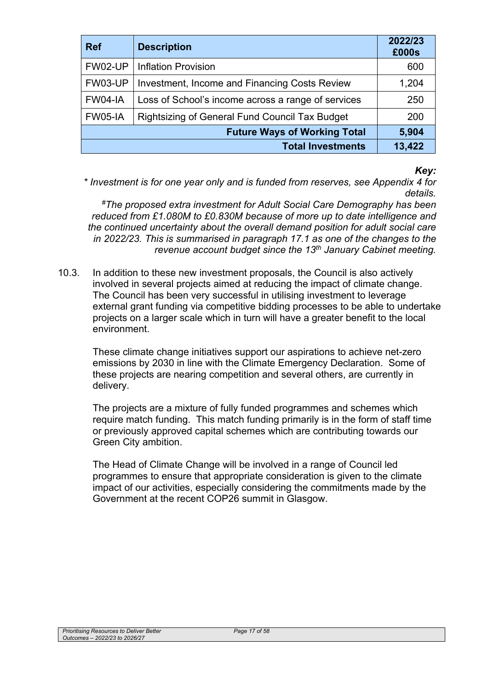| <b>Ref</b>                          | <b>Description</b>                                 | 2022/23<br>£000s |
|-------------------------------------|----------------------------------------------------|------------------|
| FW02-UP                             | <b>Inflation Provision</b>                         | 600              |
| <b>FW03-UP</b>                      | Investment, Income and Financing Costs Review      | 1,204            |
| FW04-IA                             | Loss of School's income across a range of services | 250              |
| FW05-IA                             | Rightsizing of General Fund Council Tax Budget     | 200              |
| <b>Future Ways of Working Total</b> |                                                    | 5,904            |
|                                     | <b>Total Investments</b>                           | 13,422           |

#### *Key:*

*\* Investment is for one year only and is funded from reserves, see Appendix 4 for details.* 

*#The proposed extra investment for Adult Social Care Demography has been reduced from £1.080M to £0.830M because of more up to date intelligence and the continued uncertainty about the overall demand position for adult social care in 2022/23. This is summarised in paragraph 17.1 as one of the changes to the revenue account budget since the 13th January Cabinet meeting.*

10.3. In addition to these new investment proposals, the Council is also actively involved in several projects aimed at reducing the impact of climate change. The Council has been very successful in utilising investment to leverage external grant funding via competitive bidding processes to be able to undertake projects on a larger scale which in turn will have a greater benefit to the local environment.

These climate change initiatives support our aspirations to achieve net-zero emissions by 2030 in line with the Climate Emergency Declaration. Some of these projects are nearing competition and several others, are currently in delivery.

The projects are a mixture of fully funded programmes and schemes which require match funding. This match funding primarily is in the form of staff time or previously approved capital schemes which are contributing towards our Green City ambition.

The Head of Climate Change will be involved in a range of Council led programmes to ensure that appropriate consideration is given to the climate impact of our activities, especially considering the commitments made by the Government at the recent COP26 summit in Glasgow.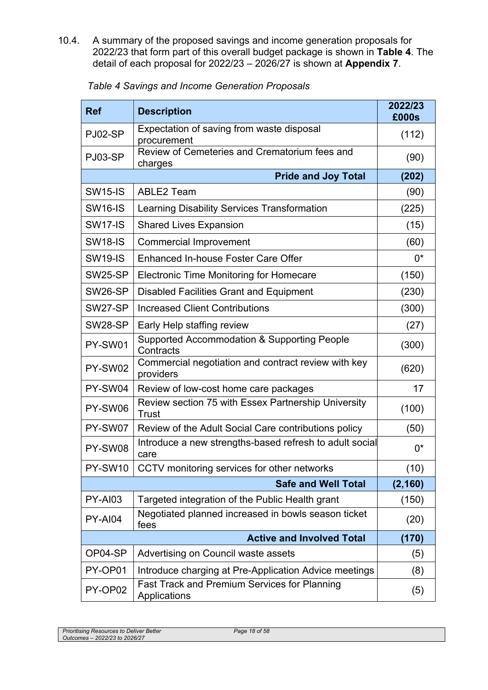10.4. A summary of the proposed savings and income generation proposals for 2022/23 that form part of this overall budget package is shown in **Table 4**. The detail of each proposal for 2022/23 – 2026/27 is shown at **Appendix 7**.

| <b>Ref</b>     | <b>Description</b>                                               | 2022/23<br>£000s |
|----------------|------------------------------------------------------------------|------------------|
| PJ02-SP        | Expectation of saving from waste disposal<br>procurement         | (112)            |
| PJ03-SP        | Review of Cemeteries and Crematorium fees and<br>charges         | (90)             |
|                | <b>Pride and Joy Total</b>                                       | (202)            |
| <b>SW15-IS</b> | <b>ABLE2 Team</b>                                                | (90)             |
| <b>SW16-IS</b> | Learning Disability Services Transformation                      | (225)            |
| <b>SW17-IS</b> | <b>Shared Lives Expansion</b>                                    | (15)             |
| <b>SW18-IS</b> | <b>Commercial Improvement</b>                                    | (60)             |
| <b>SW19-IS</b> | Enhanced In-house Foster Care Offer                              | $0^*$            |
| <b>SW25-SP</b> | Electronic Time Monitoring for Homecare                          | (150)            |
| SW26-SP        | <b>Disabled Facilities Grant and Equipment</b>                   | (230)            |
| SW27-SP        | <b>Increased Client Contributions</b>                            | (300)            |
| SW28-SP        | Early Help staffing review                                       | (27)             |
| PY-SW01        | Supported Accommodation & Supporting People<br>Contracts         | (300)            |
| PY-SW02        | Commercial negotiation and contract review with key<br>providers | (620)            |
| PY-SW04        | Review of low-cost home care packages                            | 17               |
| PY-SW06        | Review section 75 with Essex Partnership University<br>Trust     | (100)            |
| PY-SW07        | Review of the Adult Social Care contributions policy             | (50)             |
| PY-SW08        | Introduce a new strengths-based refresh to adult social<br>care  | $0^*$            |
| PY-SW10        | CCTV monitoring services for other networks                      | (10)             |
|                | <b>Safe and Well Total</b>                                       | (2, 160)         |
| <b>PY-AI03</b> | Targeted integration of the Public Health grant                  | (150)            |
| PY-AI04        | Negotiated planned increased in bowls season ticket<br>fees      | (20)             |
|                | <b>Active and Involved Total</b>                                 | (170)            |
| OP04-SP        | Advertising on Council waste assets                              | (5)              |
| PY-OP01        | Introduce charging at Pre-Application Advice meetings            | (8)              |
| PY-OP02        | Fast Track and Premium Services for Planning<br>Applications     | (5)              |

*Table 4 Savings and Income Generation Proposals*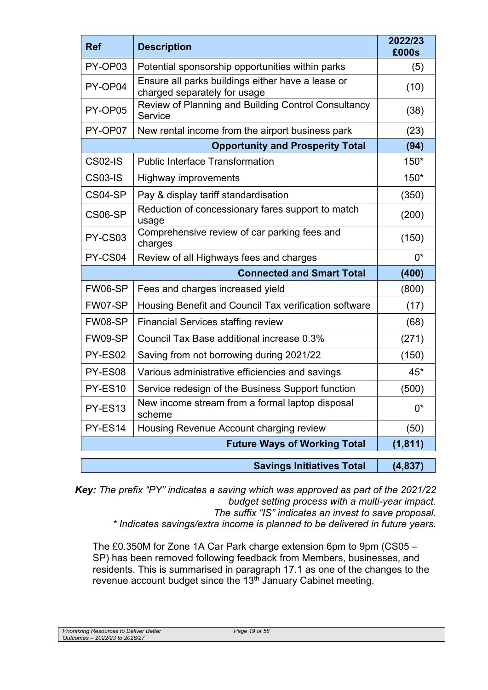| <b>Ref</b>     | <b>Description</b>                                                                | 2022/23<br>£000s |
|----------------|-----------------------------------------------------------------------------------|------------------|
| PY-OP03        | Potential sponsorship opportunities within parks                                  | (5)              |
| PY-OP04        | Ensure all parks buildings either have a lease or<br>charged separately for usage | (10)             |
| PY-OP05        | Review of Planning and Building Control Consultancy<br>Service                    | (38)             |
| PY-OP07        | New rental income from the airport business park                                  | (23)             |
|                | <b>Opportunity and Prosperity Total</b>                                           | (94)             |
| <b>CS02-IS</b> | <b>Public Interface Transformation</b>                                            | $150*$           |
| <b>CS03-IS</b> | Highway improvements                                                              | $150*$           |
| CS04-SP        | Pay & display tariff standardisation                                              | (350)            |
| CS06-SP        | Reduction of concessionary fares support to match<br>usage                        | (200)            |
| PY-CS03        | Comprehensive review of car parking fees and<br>charges                           | (150)            |
| PY-CS04        | Review of all Highways fees and charges                                           | $0^*$            |
|                | <b>Connected and Smart Total</b>                                                  | (400)            |
| FW06-SP        | Fees and charges increased yield                                                  | (800)            |
| FW07-SP        | Housing Benefit and Council Tax verification software                             | (17)             |
| FW08-SP        | <b>Financial Services staffing review</b>                                         | (68)             |
| FW09-SP        | Council Tax Base additional increase 0.3%                                         | (271)            |
| PY-ES02        | Saving from not borrowing during 2021/22                                          | (150)            |
| PY-ES08        | Various administrative efficiencies and savings                                   | $45*$            |
| PY-ES10        | Service redesign of the Business Support function                                 | (500)            |
| PY-ES13        | New income stream from a formal laptop disposal<br>scheme                         | $0^*$            |
| PY-ES14        | Housing Revenue Account charging review                                           | (50)             |
|                | <b>Future Ways of Working Total</b>                                               | (1, 811)         |
|                | <b>Savings Initiatives Total</b>                                                  | (4, 837)         |

*Key: The prefix "PY" indicates a saving which was approved as part of the 2021/22 budget setting process with a multi-year impact.* 

*The suffix "IS" indicates an invest to save proposal.* 

*\* Indicates savings/extra income is planned to be delivered in future years.* 

The £0.350M for Zone 1A Car Park charge extension 6pm to 9pm (CS05 – SP) has been removed following feedback from Members, businesses, and residents. This is summarised in paragraph 17.1 as one of the changes to the revenue account budget since the 13<sup>th</sup> January Cabinet meeting.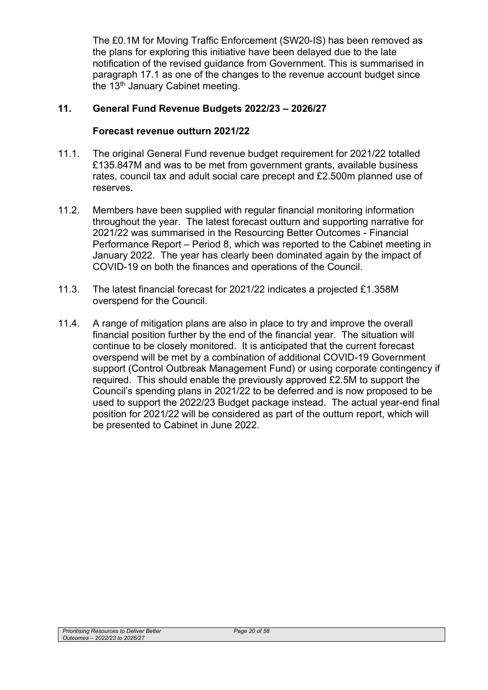The £0.1M for Moving Traffic Enforcement (SW20-IS) has been removed as the plans for exploring this initiative have been delayed due to the late notification of the revised guidance from Government. This is summarised in paragraph 17.1 as one of the changes to the revenue account budget since the 13<sup>th</sup> January Cabinet meeting.

### **11. General Fund Revenue Budgets 2022/23 – 2026/27**

#### **Forecast revenue outturn 2021/22**

- 11.1. The original General Fund revenue budget requirement for 2021/22 totalled £135.847M and was to be met from government grants, available business rates, council tax and adult social care precept and £2.500m planned use of reserves.
- 11.2. Members have been supplied with regular financial monitoring information throughout the year. The latest forecast outturn and supporting narrative for 2021/22 was summarised in the Resourcing Better Outcomes - Financial Performance Report – Period 8, which was reported to the Cabinet meeting in January 2022. The year has clearly been dominated again by the impact of COVID-19 on both the finances and operations of the Council.
- 11.3. The latest financial forecast for 2021/22 indicates a projected £1.358M overspend for the Council.
- 11.4. A range of mitigation plans are also in place to try and improve the overall financial position further by the end of the financial year. The situation will continue to be closely monitored. It is anticipated that the current forecast overspend will be met by a combination of additional COVID-19 Government support (Control Outbreak Management Fund) or using corporate contingency if required. This should enable the previously approved £2.5M to support the Council's spending plans in 2021/22 to be deferred and is now proposed to be used to support the 2022/23 Budget package instead. The actual year-end final position for 2021/22 will be considered as part of the outturn report, which will be presented to Cabinet in June 2022.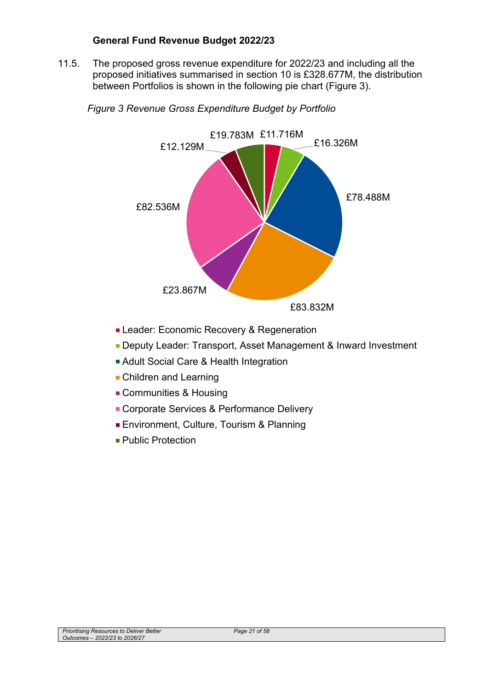#### **General Fund Revenue Budget 2022/23**

11.5. The proposed gross revenue expenditure for 2022/23 and including all the proposed initiatives summarised in section 10 is £328.677M, the distribution between Portfolios is shown in the following pie chart (Figure 3).



*Figure 3 Revenue Gross Expenditure Budget by Portfolio*

- **Leader: Economic Recovery & Regeneration**
- **Deputy Leader: Transport, Asset Management & Inward Investment**
- Adult Social Care & Health Integration
- **Children and Learning**
- Communities & Housing
- Corporate Services & Performance Delivery
- **Environment, Culture, Tourism & Planning**
- Public Protection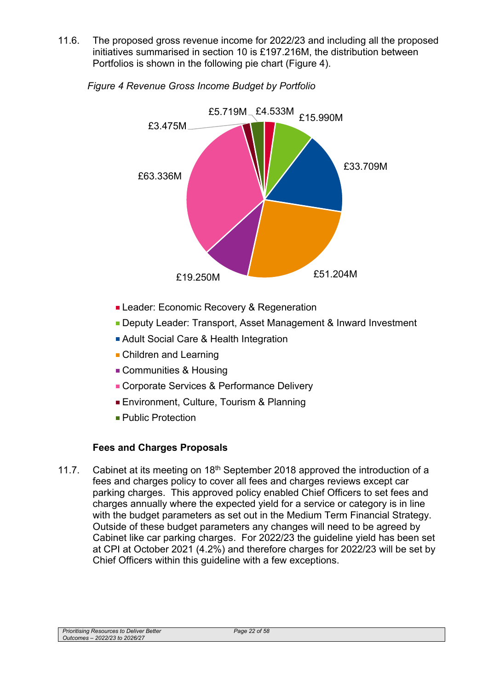11.6. The proposed gross revenue income for 2022/23 and including all the proposed initiatives summarised in section 10 is £197.216M, the distribution between Portfolios is shown in the following pie chart (Figure 4).



*Figure 4 Revenue Gross Income Budget by Portfolio* 

- **Leader: Economic Recovery & Regeneration**
- **Deputy Leader: Transport, Asset Management & Inward Investment**
- **Adult Social Care & Health Integration**
- **Children and Learning**
- Communities & Housing
- Corporate Services & Performance Delivery
- **Environment, Culture, Tourism & Planning**
- **Public Protection**

# **Fees and Charges Proposals**

11.7. Cabinet at its meeting on  $18<sup>th</sup>$  September 2018 approved the introduction of a fees and charges policy to cover all fees and charges reviews except car parking charges. This approved policy enabled Chief Officers to set fees and charges annually where the expected yield for a service or category is in line with the budget parameters as set out in the Medium Term Financial Strategy. Outside of these budget parameters any changes will need to be agreed by Cabinet like car parking charges. For 2022/23 the guideline yield has been set at CPI at October 2021 (4.2%) and therefore charges for 2022/23 will be set by Chief Officers within this guideline with a few exceptions.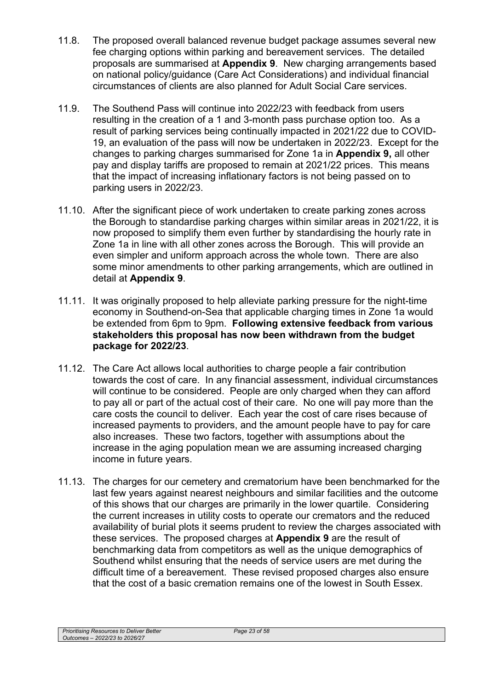- 11.8. The proposed overall balanced revenue budget package assumes several new fee charging options within parking and bereavement services. The detailed proposals are summarised at **Appendix 9**. New charging arrangements based on national policy/guidance (Care Act Considerations) and individual financial circumstances of clients are also planned for Adult Social Care services.
- 11.9. The Southend Pass will continue into 2022/23 with feedback from users resulting in the creation of a 1 and 3-month pass purchase option too. As a result of parking services being continually impacted in 2021/22 due to COVID-19, an evaluation of the pass will now be undertaken in 2022/23. Except for the changes to parking charges summarised for Zone 1a in **Appendix 9,** all other pay and display tariffs are proposed to remain at 2021/22 prices. This means that the impact of increasing inflationary factors is not being passed on to parking users in 2022/23.
- 11.10. After the significant piece of work undertaken to create parking zones across the Borough to standardise parking charges within similar areas in 2021/22, it is now proposed to simplify them even further by standardising the hourly rate in Zone 1a in line with all other zones across the Borough. This will provide an even simpler and uniform approach across the whole town. There are also some minor amendments to other parking arrangements, which are outlined in detail at **Appendix 9**.
- 11.11. It was originally proposed to help alleviate parking pressure for the night-time economy in Southend-on-Sea that applicable charging times in Zone 1a would be extended from 6pm to 9pm. **Following extensive feedback from various stakeholders this proposal has now been withdrawn from the budget package for 2022/23**.
- 11.12. The Care Act allows local authorities to charge people a fair contribution towards the cost of care. In any financial assessment, individual circumstances will continue to be considered. People are only charged when they can afford to pay all or part of the actual cost of their care. No one will pay more than the care costs the council to deliver. Each year the cost of care rises because of increased payments to providers, and the amount people have to pay for care also increases. These two factors, together with assumptions about the increase in the aging population mean we are assuming increased charging income in future years.
- 11.13. The charges for our cemetery and crematorium have been benchmarked for the last few years against nearest neighbours and similar facilities and the outcome of this shows that our charges are primarily in the lower quartile. Considering the current increases in utility costs to operate our cremators and the reduced availability of burial plots it seems prudent to review the charges associated with these services. The proposed charges at **Appendix 9** are the result of benchmarking data from competitors as well as the unique demographics of Southend whilst ensuring that the needs of service users are met during the difficult time of a bereavement. These revised proposed charges also ensure that the cost of a basic cremation remains one of the lowest in South Essex.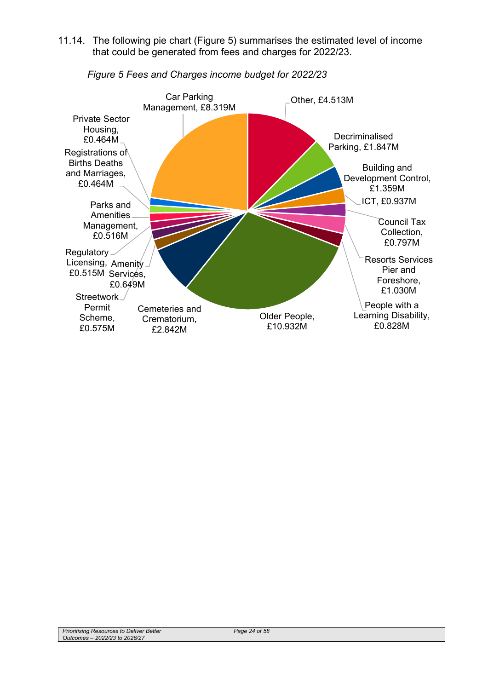11.14. The following pie chart (Figure 5) summarises the estimated level of income that could be generated from fees and charges for 2022/23.



*Figure 5 Fees and Charges income budget for 2022/23*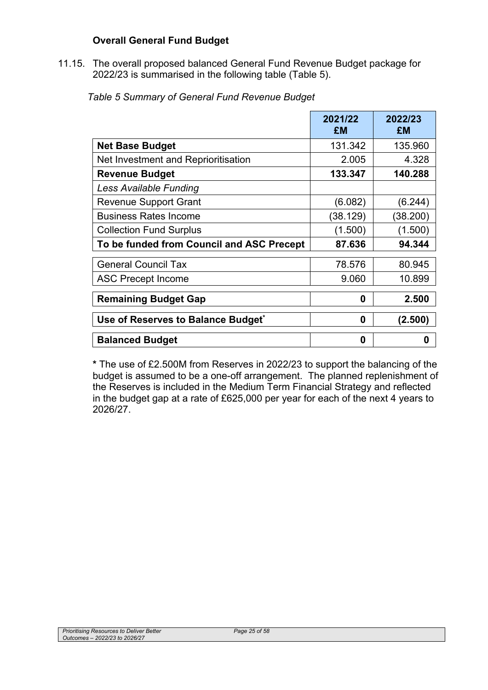## **Overall General Fund Budget**

11.15. The overall proposed balanced General Fund Revenue Budget package for 2022/23 is summarised in the following table (Table 5).

| Table 5 Summary of General Fund Revenue Budget |  |
|------------------------------------------------|--|
|------------------------------------------------|--|

|                                           | 2021/22<br>£M | 2022/23<br>£M |
|-------------------------------------------|---------------|---------------|
| <b>Net Base Budget</b>                    | 131.342       | 135.960       |
| Net Investment and Reprioritisation       | 2.005         | 4.328         |
| <b>Revenue Budget</b>                     | 133.347       | 140.288       |
| Less Available Funding                    |               |               |
| <b>Revenue Support Grant</b>              | (6.082)       | (6.244)       |
| <b>Business Rates Income</b>              | (38.129)      | (38.200)      |
| <b>Collection Fund Surplus</b>            | (1.500)       | (1.500)       |
| To be funded from Council and ASC Precept | 87.636        | 94.344        |
| <b>General Council Tax</b>                | 78.576        | 80.945        |
| <b>ASC Precept Income</b>                 | 9.060         | 10.899        |
| <b>Remaining Budget Gap</b>               | 0             | 2.500         |
| Use of Reserves to Balance Budget*        | 0             | (2.500)       |
| <b>Balanced Budget</b>                    | 0             | 0             |

**\*** The use of £2.500M from Reserves in 2022/23 to support the balancing of the budget is assumed to be a one-off arrangement. The planned replenishment of the Reserves is included in the Medium Term Financial Strategy and reflected in the budget gap at a rate of £625,000 per year for each of the next 4 years to 2026/27.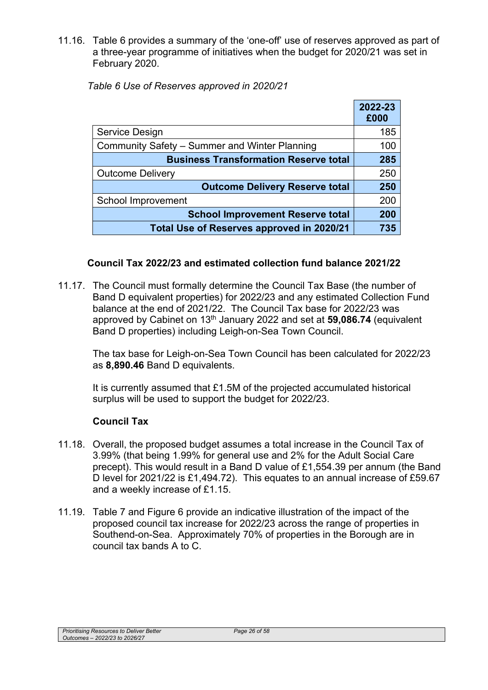11.16. Table 6 provides a summary of the 'one-off' use of reserves approved as part of a three-year programme of initiatives when the budget for 2020/21 was set in February 2020.

|                                               | 2022-23<br>£000 |
|-----------------------------------------------|-----------------|
| Service Design                                | 185             |
| Community Safety - Summer and Winter Planning | 100             |
| <b>Business Transformation Reserve total</b>  | 285             |
| <b>Outcome Delivery</b>                       | 250             |
| <b>Outcome Delivery Reserve total</b>         | 250             |
| School Improvement                            | 200             |
| <b>School Improvement Reserve total</b>       | 200             |
| Total Use of Reserves approved in 2020/21     | 735             |

*Table 6 Use of Reserves approved in 2020/21* 

#### **Council Tax 2022/23 and estimated collection fund balance 2021/22**

11.17. The Council must formally determine the Council Tax Base (the number of Band D equivalent properties) for 2022/23 and any estimated Collection Fund balance at the end of 2021/22. The Council Tax base for 2022/23 was approved by Cabinet on 13th January 2022 and set at **59,086.74** (equivalent Band D properties) including Leigh-on-Sea Town Council.

The tax base for Leigh-on-Sea Town Council has been calculated for 2022/23 as **8,890.46** Band D equivalents.

It is currently assumed that £1.5M of the projected accumulated historical surplus will be used to support the budget for 2022/23.

#### **Council Tax**

- 11.18. Overall, the proposed budget assumes a total increase in the Council Tax of 3.99% (that being 1.99% for general use and 2% for the Adult Social Care precept). This would result in a Band D value of £1,554.39 per annum (the Band D level for 2021/22 is £1,494.72). This equates to an annual increase of £59.67 and a weekly increase of £1.15.
- 11.19. Table 7 and Figure 6 provide an indicative illustration of the impact of the proposed council tax increase for 2022/23 across the range of properties in Southend-on-Sea. Approximately 70% of properties in the Borough are in council tax bands A to C.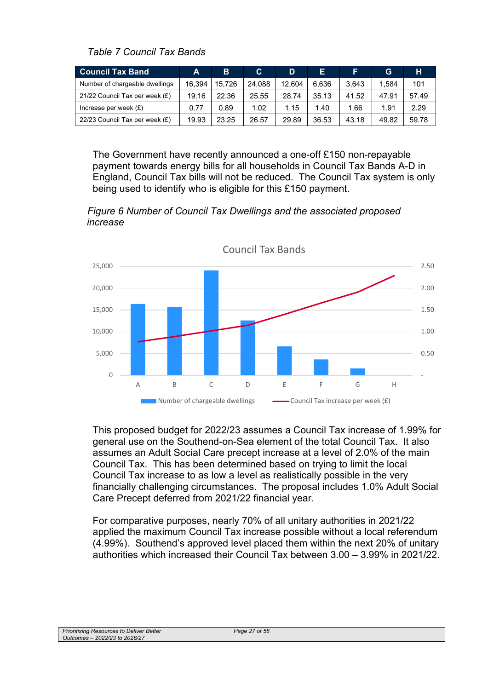*Table 7 Council Tax Bands* 

| <b>Council Tax Band</b>        | A      | B      | C.     | D      | E.    |       | G     | н     |
|--------------------------------|--------|--------|--------|--------|-------|-------|-------|-------|
| Number of chargeable dwellings | 16.394 | 15.726 | 24.088 | 12.604 | 6.636 | 3,643 | 1.584 | 101   |
| 21/22 Council Tax per week (£) | 19.16  | 22.36  | 25.55  | 28.74  | 35.13 | 41.52 | 47.91 | 57.49 |
| Increase per week $(E)$        | 0.77   | 0.89   | 1.02   | 1.15   | 1.40  | 1.66  | 1.91  | 2.29  |
| 22/23 Council Tax per week (£) | 19.93  | 23.25  | 26.57  | 29.89  | 36.53 | 43.18 | 49.82 | 59.78 |

The Government have recently announced a one-off £150 non-repayable payment towards energy bills for all households in Council Tax Bands A-D in England, Council Tax bills will not be reduced. The Council Tax system is only being used to identify who is eligible for this £150 payment.

*Figure 6 Number of Council Tax Dwellings and the associated proposed increase* 



This proposed budget for 2022/23 assumes a Council Tax increase of 1.99% for general use on the Southend-on-Sea element of the total Council Tax. It also assumes an Adult Social Care precept increase at a level of 2.0% of the main Council Tax. This has been determined based on trying to limit the local Council Tax increase to as low a level as realistically possible in the very financially challenging circumstances. The proposal includes 1.0% Adult Social Care Precept deferred from 2021/22 financial year.

For comparative purposes, nearly 70% of all unitary authorities in 2021/22 applied the maximum Council Tax increase possible without a local referendum (4.99%). Southend's approved level placed them within the next 20% of unitary authorities which increased their Council Tax between 3.00 – 3.99% in 2021/22.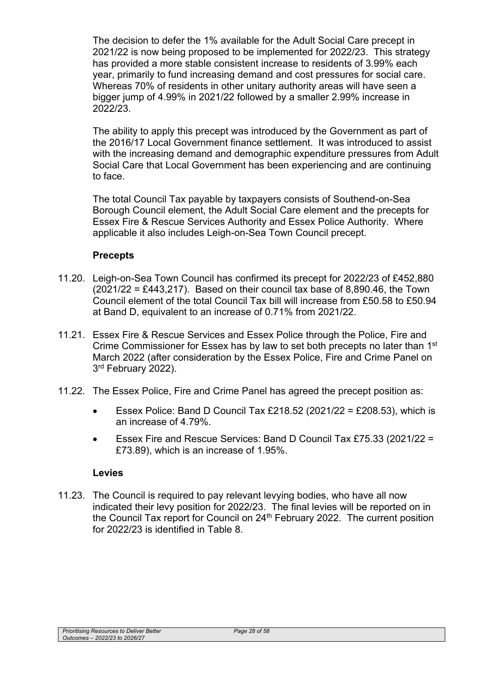The decision to defer the 1% available for the Adult Social Care precept in 2021/22 is now being proposed to be implemented for 2022/23. This strategy has provided a more stable consistent increase to residents of 3.99% each year, primarily to fund increasing demand and cost pressures for social care. Whereas 70% of residents in other unitary authority areas will have seen a bigger jump of 4.99% in 2021/22 followed by a smaller 2.99% increase in 2022/23.

The ability to apply this precept was introduced by the Government as part of the 2016/17 Local Government finance settlement. It was introduced to assist with the increasing demand and demographic expenditure pressures from Adult Social Care that Local Government has been experiencing and are continuing to face.

The total Council Tax payable by taxpayers consists of Southend-on-Sea Borough Council element, the Adult Social Care element and the precepts for Essex Fire & Rescue Services Authority and Essex Police Authority. Where applicable it also includes Leigh-on-Sea Town Council precept.

### **Precepts**

- 11.20. Leigh-on-Sea Town Council has confirmed its precept for 2022/23 of £452,880  $(2021/22 = \text{\textsterling}443,217)$ . Based on their council tax base of 8,890.46, the Town Council element of the total Council Tax bill will increase from £50.58 to £50.94 at Band D, equivalent to an increase of 0.71% from 2021/22.
- 11.21. Essex Fire & Rescue Services and Essex Police through the Police, Fire and Crime Commissioner for Essex has by law to set both precepts no later than 1<sup>st</sup> March 2022 (after consideration by the Essex Police, Fire and Crime Panel on 3<sup>rd</sup> February 2022).
- 11.22. The Essex Police, Fire and Crime Panel has agreed the precept position as:
	- Essex Police: Band D Council Tax £218.52 (2021/22 = £208.53), which is an increase of 4.79%.
	- Essex Fire and Rescue Services: Band D Council Tax £75.33 (2021/22 = £73.89), which is an increase of 1.95%.

#### **Levies**

11.23. The Council is required to pay relevant levying bodies, who have all now indicated their levy position for 2022/23. The final levies will be reported on in the Council Tax report for Council on  $24<sup>th</sup>$  February 2022. The current position for 2022/23 is identified in Table 8.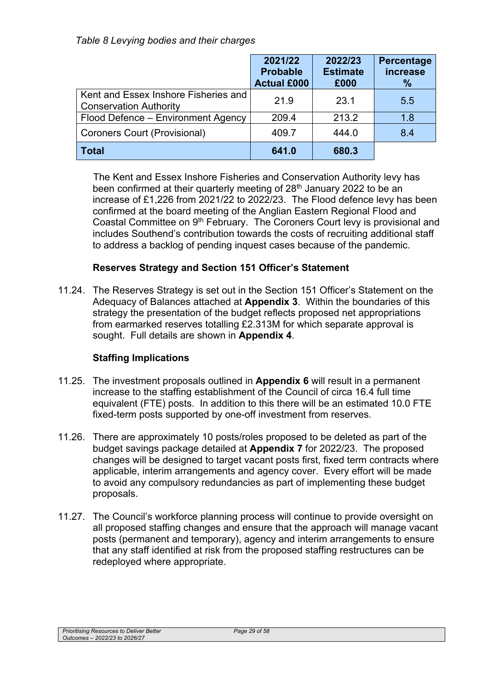## *Table 8 Levying bodies and their charges*

|                                                                       | 2021/22<br><b>Probable</b><br><b>Actual £000</b> | 2022/23<br><b>Estimate</b><br>£000 | Percentage<br>increase<br>$\%$ |
|-----------------------------------------------------------------------|--------------------------------------------------|------------------------------------|--------------------------------|
| Kent and Essex Inshore Fisheries and<br><b>Conservation Authority</b> | 21.9                                             | 23.1                               | 5.5                            |
| Flood Defence - Environment Agency                                    | 209.4                                            | 213.2                              | 1.8                            |
| Coroners Court (Provisional)                                          | 409.7                                            | 444.0                              | 8.4                            |
| <b>Total</b>                                                          | 641.0                                            | 680.3                              |                                |

The Kent and Essex Inshore Fisheries and Conservation Authority levy has been confirmed at their quarterly meeting of 28<sup>th</sup> January 2022 to be an increase of £1,226 from 2021/22 to 2022/23. The Flood defence levy has been confirmed at the board meeting of the Anglian Eastern Regional Flood and Coastal Committee on 9<sup>th</sup> February. The Coroners Court levy is provisional and includes Southend's contribution towards the costs of recruiting additional staff to address a backlog of pending inquest cases because of the pandemic.

# **Reserves Strategy and Section 151 Officer's Statement**

11.24. The Reserves Strategy is set out in the Section 151 Officer's Statement on the Adequacy of Balances attached at **Appendix 3**. Within the boundaries of this strategy the presentation of the budget reflects proposed net appropriations from earmarked reserves totalling £2.313M for which separate approval is sought. Full details are shown in **Appendix 4**.

# **Staffing Implications**

- 11.25. The investment proposals outlined in **Appendix 6** will result in a permanent increase to the staffing establishment of the Council of circa 16.4 full time equivalent (FTE) posts. In addition to this there will be an estimated 10.0 FTE fixed-term posts supported by one-off investment from reserves.
- 11.26. There are approximately 10 posts/roles proposed to be deleted as part of the budget savings package detailed at **Appendix 7** for 2022/23. The proposed changes will be designed to target vacant posts first, fixed term contracts where applicable, interim arrangements and agency cover. Every effort will be made to avoid any compulsory redundancies as part of implementing these budget proposals.
- 11.27. The Council's workforce planning process will continue to provide oversight on all proposed staffing changes and ensure that the approach will manage vacant posts (permanent and temporary), agency and interim arrangements to ensure that any staff identified at risk from the proposed staffing restructures can be redeployed where appropriate.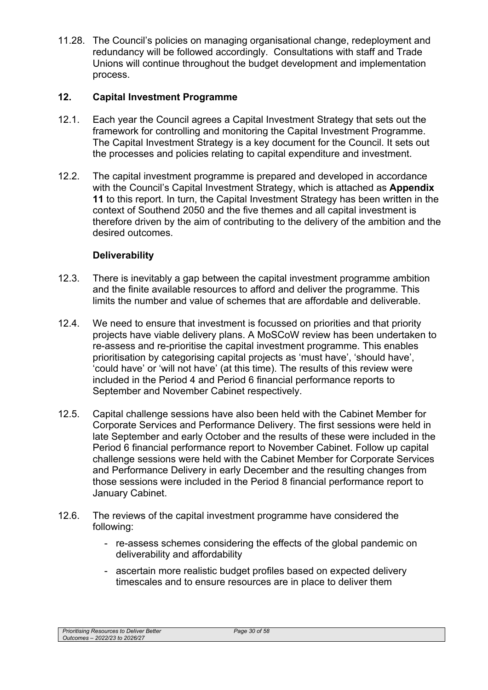11.28. The Council's policies on managing organisational change, redeployment and redundancy will be followed accordingly. Consultations with staff and Trade Unions will continue throughout the budget development and implementation process.

# **12. Capital Investment Programme**

- 12.1. Each year the Council agrees a Capital Investment Strategy that sets out the framework for controlling and monitoring the Capital Investment Programme. The Capital Investment Strategy is a key document for the Council. It sets out the processes and policies relating to capital expenditure and investment.
- 12.2. The capital investment programme is prepared and developed in accordance with the Council's Capital Investment Strategy, which is attached as **Appendix 11** to this report. In turn, the Capital Investment Strategy has been written in the context of Southend 2050 and the five themes and all capital investment is therefore driven by the aim of contributing to the delivery of the ambition and the desired outcomes.

# **Deliverability**

- 12.3. There is inevitably a gap between the capital investment programme ambition and the finite available resources to afford and deliver the programme. This limits the number and value of schemes that are affordable and deliverable.
- 12.4. We need to ensure that investment is focussed on priorities and that priority projects have viable delivery plans. A MoSCoW review has been undertaken to re-assess and re-prioritise the capital investment programme. This enables prioritisation by categorising capital projects as 'must have', 'should have', 'could have' or 'will not have' (at this time). The results of this review were included in the Period 4 and Period 6 financial performance reports to September and November Cabinet respectively.
- 12.5. Capital challenge sessions have also been held with the Cabinet Member for Corporate Services and Performance Delivery. The first sessions were held in late September and early October and the results of these were included in the Period 6 financial performance report to November Cabinet. Follow up capital challenge sessions were held with the Cabinet Member for Corporate Services and Performance Delivery in early December and the resulting changes from those sessions were included in the Period 8 financial performance report to January Cabinet.
- 12.6. The reviews of the capital investment programme have considered the following:
	- re-assess schemes considering the effects of the global pandemic on deliverability and affordability
	- ascertain more realistic budget profiles based on expected delivery timescales and to ensure resources are in place to deliver them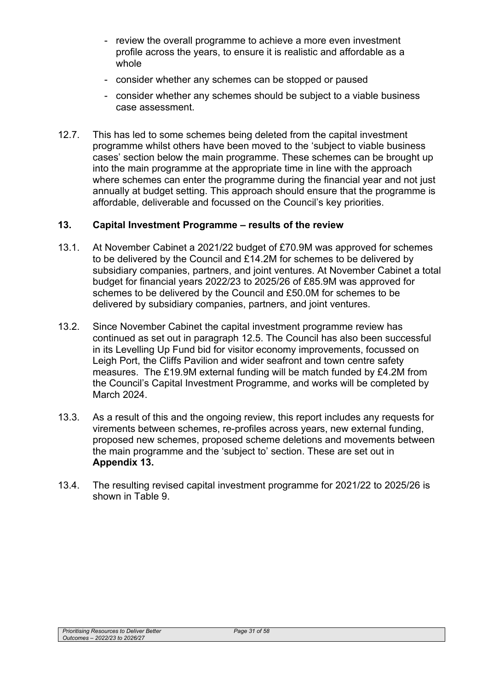- review the overall programme to achieve a more even investment profile across the years, to ensure it is realistic and affordable as a whole
- consider whether any schemes can be stopped or paused
- consider whether any schemes should be subject to a viable business case assessment.
- 12.7. This has led to some schemes being deleted from the capital investment programme whilst others have been moved to the 'subject to viable business cases' section below the main programme. These schemes can be brought up into the main programme at the appropriate time in line with the approach where schemes can enter the programme during the financial year and not just annually at budget setting. This approach should ensure that the programme is affordable, deliverable and focussed on the Council's key priorities.

### **13. Capital Investment Programme – results of the review**

- 13.1. At November Cabinet a 2021/22 budget of £70.9M was approved for schemes to be delivered by the Council and £14.2M for schemes to be delivered by subsidiary companies, partners, and joint ventures. At November Cabinet a total budget for financial years 2022/23 to 2025/26 of £85.9M was approved for schemes to be delivered by the Council and £50.0M for schemes to be delivered by subsidiary companies, partners, and joint ventures.
- 13.2. Since November Cabinet the capital investment programme review has continued as set out in paragraph 12.5. The Council has also been successful in its Levelling Up Fund bid for visitor economy improvements, focussed on Leigh Port, the Cliffs Pavilion and wider seafront and town centre safety measures. The £19.9M external funding will be match funded by £4.2M from the Council's Capital Investment Programme, and works will be completed by March 2024.
- 13.3. As a result of this and the ongoing review, this report includes any requests for virements between schemes, re-profiles across years, new external funding, proposed new schemes, proposed scheme deletions and movements between the main programme and the 'subject to' section. These are set out in **Appendix 13.**
- 13.4. The resulting revised capital investment programme for 2021/22 to 2025/26 is shown in Table 9.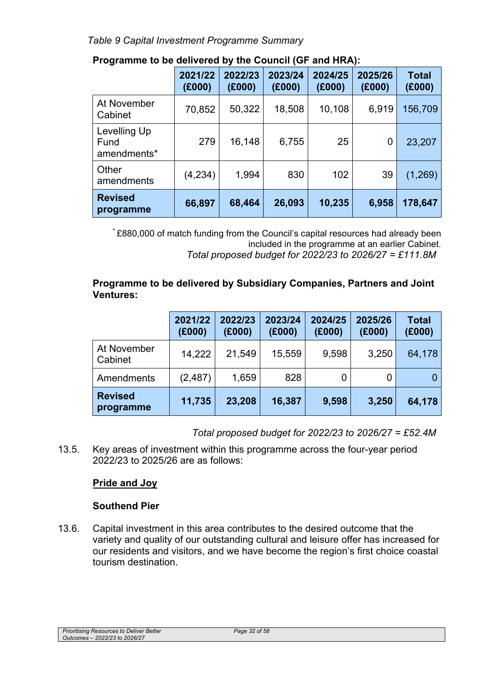*Table 9 Capital Investment Programme Summary* 

|                                     | 2021/22<br>(E000) | 2022/23<br>(E000) | 2023/24<br>(E000) | 2024/25<br>(E000) | 2025/26<br>(E000) | <b>Total</b><br>(E000) |
|-------------------------------------|-------------------|-------------------|-------------------|-------------------|-------------------|------------------------|
| At November<br>Cabinet              | 70,852            | 50,322            | 18,508            | 10,108            | 6,919             | 156,709                |
| Levelling Up<br>Fund<br>amendments* | 279               | 16,148            | 6,755             | 25                | 0                 | 23,207                 |
| Other<br>amendments                 | (4,234)           | 1,994             | 830               | 102               | 39                | (1, 269)               |
| <b>Revised</b><br>programme         | 66,897            | 68,464            | 26,093            | 10,235            | 6,958             | 178,647                |

# **Programme to be delivered by the Council (GF and HRA):**

\* £880,000 of match funding from the Council's capital resources had already been included in the programme at an earlier Cabinet. *Total proposed budget for 2022/23 to 2026/27 = £111.8M* 

## **Programme to be delivered by Subsidiary Companies, Partners and Joint Ventures:**

|                             | 2021/22<br>(E000) | 2022/23<br>(E000) | 2023/24<br>(E000) | 2024/25<br>(E000) | 2025/26<br>(E000) | <b>Total</b><br>(E000) |
|-----------------------------|-------------------|-------------------|-------------------|-------------------|-------------------|------------------------|
| At November<br>Cabinet      | 14,222            | 21,549            | 15,559            | 9,598             | 3,250             | 64,178                 |
| Amendments                  | (2, 487)          | 1,659             | 828               | 0                 |                   |                        |
| <b>Revised</b><br>programme | 11,735            | 23,208            | 16,387            | 9,598             | 3,250             | 64,178                 |

*Total proposed budget for 2022/23 to 2026/27 = £52.4M* 

13.5. Key areas of investment within this programme across the four-year period 2022/23 to 2025/26 are as follows:

# **Pride and Joy**

# **Southend Pier**

13.6. Capital investment in this area contributes to the desired outcome that the variety and quality of our outstanding cultural and leisure offer has increased for our residents and visitors, and we have become the region's first choice coastal tourism destination.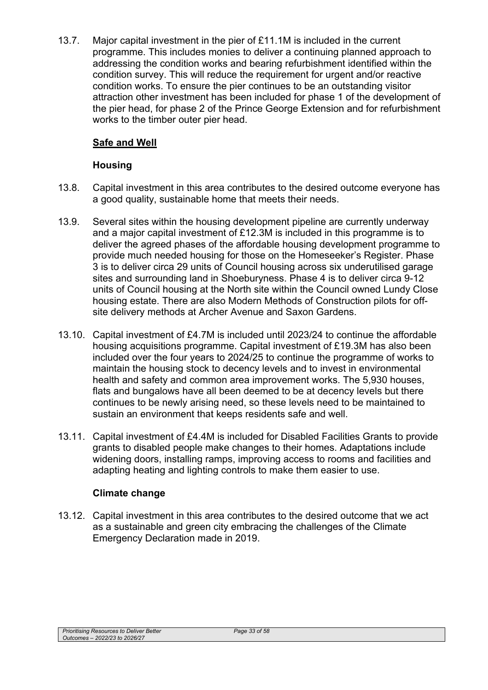13.7. Major capital investment in the pier of £11.1M is included in the current programme. This includes monies to deliver a continuing planned approach to addressing the condition works and bearing refurbishment identified within the condition survey. This will reduce the requirement for urgent and/or reactive condition works. To ensure the pier continues to be an outstanding visitor attraction other investment has been included for phase 1 of the development of the pier head, for phase 2 of the Prince George Extension and for refurbishment works to the timber outer pier head.

# **Safe and Well**

### **Housing**

- 13.8. Capital investment in this area contributes to the desired outcome everyone has a good quality, sustainable home that meets their needs.
- 13.9. Several sites within the housing development pipeline are currently underway and a major capital investment of £12.3M is included in this programme is to deliver the agreed phases of the affordable housing development programme to provide much needed housing for those on the Homeseeker's Register. Phase 3 is to deliver circa 29 units of Council housing across six underutilised garage sites and surrounding land in Shoeburyness. Phase 4 is to deliver circa 9-12 units of Council housing at the North site within the Council owned Lundy Close housing estate. There are also Modern Methods of Construction pilots for offsite delivery methods at Archer Avenue and Saxon Gardens.
- 13.10. Capital investment of £4.7M is included until 2023/24 to continue the affordable housing acquisitions programme. Capital investment of £19.3M has also been included over the four years to 2024/25 to continue the programme of works to maintain the housing stock to decency levels and to invest in environmental health and safety and common area improvement works. The 5,930 houses, flats and bungalows have all been deemed to be at decency levels but there continues to be newly arising need, so these levels need to be maintained to sustain an environment that keeps residents safe and well.
- 13.11. Capital investment of £4.4M is included for Disabled Facilities Grants to provide grants to disabled people make changes to their homes. Adaptations include widening doors, installing ramps, improving access to rooms and facilities and adapting heating and lighting controls to make them easier to use.

## **Climate change**

13.12. Capital investment in this area contributes to the desired outcome that we act as a sustainable and green city embracing the challenges of the Climate Emergency Declaration made in 2019.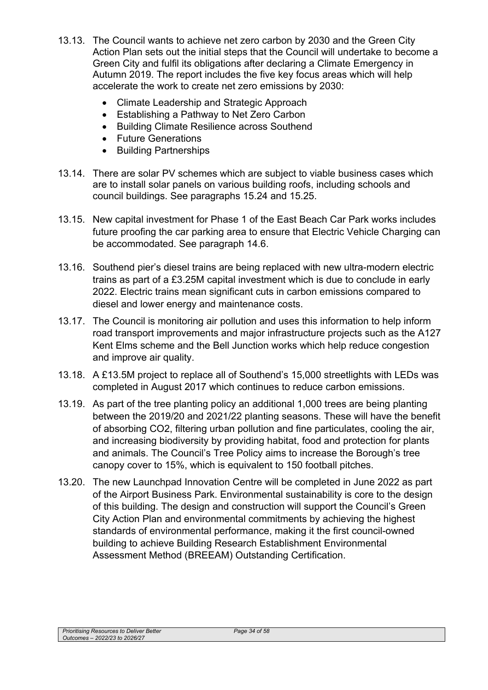- 13.13. The Council wants to achieve net zero carbon by 2030 and the Green City Action Plan sets out the initial steps that the Council will undertake to become a Green City and fulfil its obligations after declaring a Climate Emergency in Autumn 2019. The report includes the five key focus areas which will help accelerate the work to create net zero emissions by 2030:
	- Climate Leadership and Strategic Approach
	- Establishing a Pathway to Net Zero Carbon
	- Building Climate Resilience across Southend
	- Future Generations
	- Building Partnerships
- 13.14. There are solar PV schemes which are subject to viable business cases which are to install solar panels on various building roofs, including schools and council buildings. See paragraphs 15.24 and 15.25.
- 13.15. New capital investment for Phase 1 of the East Beach Car Park works includes future proofing the car parking area to ensure that Electric Vehicle Charging can be accommodated. See paragraph 14.6.
- 13.16. Southend pier's diesel trains are being replaced with new ultra-modern electric trains as part of a £3.25M capital investment which is due to conclude in early 2022. Electric trains mean significant cuts in carbon emissions compared to diesel and lower energy and maintenance costs.
- 13.17. The Council is monitoring air pollution and uses this information to help inform road transport improvements and major infrastructure projects such as the A127 Kent Elms scheme and the Bell Junction works which help reduce congestion and improve air quality.
- 13.18. A £13.5M project to replace all of Southend's 15,000 streetlights with LEDs was completed in August 2017 which continues to reduce carbon emissions.
- 13.19. As part of the tree planting policy an additional 1,000 trees are being planting between the 2019/20 and 2021/22 planting seasons. These will have the benefit of absorbing CO2, filtering urban pollution and fine particulates, cooling the air, and increasing biodiversity by providing habitat, food and protection for plants and animals. The Council's Tree Policy aims to increase the Borough's tree canopy cover to 15%, which is equivalent to 150 football pitches.
- 13.20. The new Launchpad Innovation Centre will be completed in June 2022 as part of the Airport Business Park. Environmental sustainability is core to the design of this building. The design and construction will support the Council's Green City Action Plan and environmental commitments by achieving the highest standards of environmental performance, making it the first council-owned building to achieve Building Research Establishment Environmental Assessment Method (BREEAM) Outstanding Certification.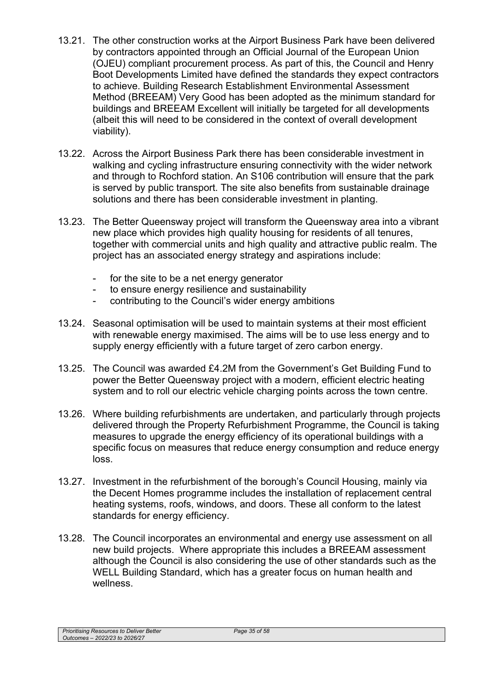- 13.21. The other construction works at the Airport Business Park have been delivered by contractors appointed through an Official Journal of the European Union (OJEU) compliant procurement process. As part of this, the Council and Henry Boot Developments Limited have defined the standards they expect contractors to achieve. Building Research Establishment Environmental Assessment Method (BREEAM) Very Good has been adopted as the minimum standard for buildings and BREEAM Excellent will initially be targeted for all developments (albeit this will need to be considered in the context of overall development viability).
- 13.22. Across the Airport Business Park there has been considerable investment in walking and cycling infrastructure ensuring connectivity with the wider network and through to Rochford station. An S106 contribution will ensure that the park is served by public transport. The site also benefits from sustainable drainage solutions and there has been considerable investment in planting.
- 13.23. The Better Queensway project will transform the Queensway area into a vibrant new place which provides high quality housing for residents of all tenures, together with commercial units and high quality and attractive public realm. The project has an associated energy strategy and aspirations include:
	- for the site to be a net energy generator
	- to ensure energy resilience and sustainability
	- contributing to the Council's wider energy ambitions
- 13.24. Seasonal optimisation will be used to maintain systems at their most efficient with renewable energy maximised. The aims will be to use less energy and to supply energy efficiently with a future target of zero carbon energy.
- 13.25. The Council was awarded £4.2M from the Government's Get Building Fund to power the Better Queensway project with a modern, efficient electric heating system and to roll our electric vehicle charging points across the town centre.
- 13.26. Where building refurbishments are undertaken, and particularly through projects delivered through the Property Refurbishment Programme, the Council is taking measures to upgrade the energy efficiency of its operational buildings with a specific focus on measures that reduce energy consumption and reduce energy loss.
- 13.27. Investment in the refurbishment of the borough's Council Housing, mainly via the Decent Homes programme includes the installation of replacement central heating systems, roofs, windows, and doors. These all conform to the latest standards for energy efficiency.
- 13.28. The Council incorporates an environmental and energy use assessment on all new build projects. Where appropriate this includes a BREEAM assessment although the Council is also considering the use of other standards such as the WELL Building Standard, which has a greater focus on human health and wellness.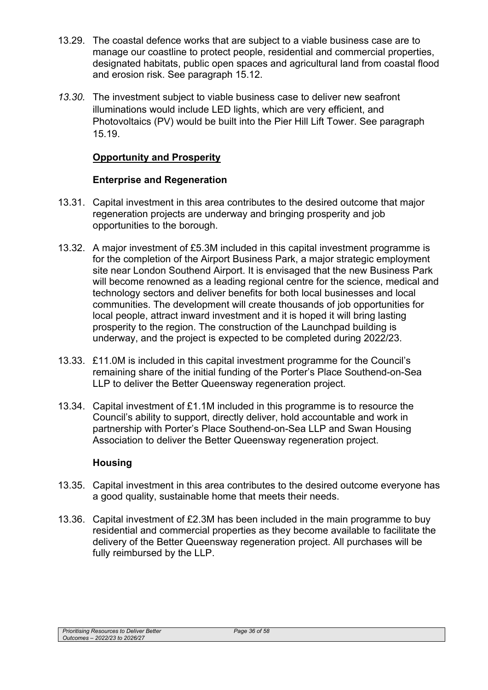- 13.29. The coastal defence works that are subject to a viable business case are to manage our coastline to protect people, residential and commercial properties, designated habitats, public open spaces and agricultural land from coastal flood and erosion risk. See paragraph 15.12.
- *13.30.* The investment subject to viable business case to deliver new seafront illuminations would include LED lights, which are very efficient, and Photovoltaics (PV) would be built into the Pier Hill Lift Tower. See paragraph 15.19.

## **Opportunity and Prosperity**

### **Enterprise and Regeneration**

- 13.31. Capital investment in this area contributes to the desired outcome that major regeneration projects are underway and bringing prosperity and job opportunities to the borough.
- 13.32. A major investment of £5.3M included in this capital investment programme is for the completion of the Airport Business Park, a major strategic employment site near London Southend Airport. It is envisaged that the new Business Park will become renowned as a leading regional centre for the science, medical and technology sectors and deliver benefits for both local businesses and local communities. The development will create thousands of job opportunities for local people, attract inward investment and it is hoped it will bring lasting prosperity to the region. The construction of the Launchpad building is underway, and the project is expected to be completed during 2022/23.
- 13.33. £11.0M is included in this capital investment programme for the Council's remaining share of the initial funding of the Porter's Place Southend-on-Sea LLP to deliver the Better Queensway regeneration project.
- 13.34. Capital investment of £1.1M included in this programme is to resource the Council's ability to support, directly deliver, hold accountable and work in partnership with Porter's Place Southend-on-Sea LLP and Swan Housing Association to deliver the Better Queensway regeneration project.

#### **Housing**

- 13.35. Capital investment in this area contributes to the desired outcome everyone has a good quality, sustainable home that meets their needs.
- 13.36. Capital investment of £2.3M has been included in the main programme to buy residential and commercial properties as they become available to facilitate the delivery of the Better Queensway regeneration project. All purchases will be fully reimbursed by the LLP.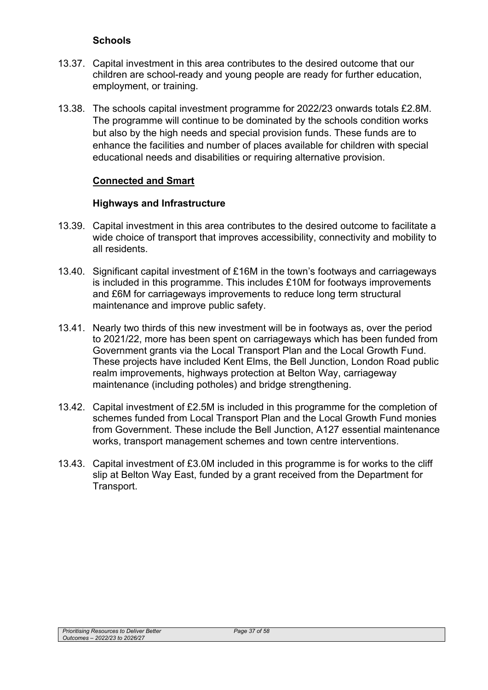### **Schools**

- 13.37. Capital investment in this area contributes to the desired outcome that our children are school-ready and young people are ready for further education, employment, or training.
- 13.38. The schools capital investment programme for 2022/23 onwards totals £2.8M. The programme will continue to be dominated by the schools condition works but also by the high needs and special provision funds. These funds are to enhance the facilities and number of places available for children with special educational needs and disabilities or requiring alternative provision.

### **Connected and Smart**

#### **Highways and Infrastructure**

- 13.39. Capital investment in this area contributes to the desired outcome to facilitate a wide choice of transport that improves accessibility, connectivity and mobility to all residents.
- 13.40. Significant capital investment of £16M in the town's footways and carriageways is included in this programme. This includes £10M for footways improvements and £6M for carriageways improvements to reduce long term structural maintenance and improve public safety.
- 13.41. Nearly two thirds of this new investment will be in footways as, over the period to 2021/22, more has been spent on carriageways which has been funded from Government grants via the Local Transport Plan and the Local Growth Fund. These projects have included Kent Elms, the Bell Junction, London Road public realm improvements, highways protection at Belton Way, carriageway maintenance (including potholes) and bridge strengthening.
- 13.42. Capital investment of £2.5M is included in this programme for the completion of schemes funded from Local Transport Plan and the Local Growth Fund monies from Government. These include the Bell Junction, A127 essential maintenance works, transport management schemes and town centre interventions.
- 13.43. Capital investment of £3.0M included in this programme is for works to the cliff slip at Belton Way East, funded by a grant received from the Department for Transport.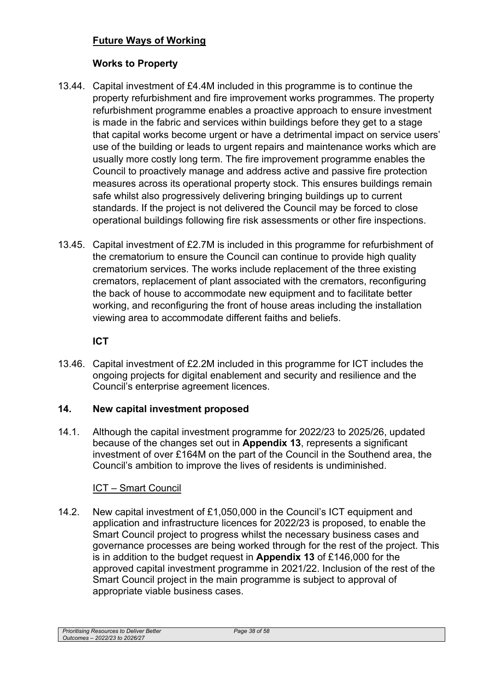# **Future Ways of Working**

# **Works to Property**

- 13.44. Capital investment of £4.4M included in this programme is to continue the property refurbishment and fire improvement works programmes. The property refurbishment programme enables a proactive approach to ensure investment is made in the fabric and services within buildings before they get to a stage that capital works become urgent or have a detrimental impact on service users' use of the building or leads to urgent repairs and maintenance works which are usually more costly long term. The fire improvement programme enables the Council to proactively manage and address active and passive fire protection measures across its operational property stock. This ensures buildings remain safe whilst also progressively delivering bringing buildings up to current standards. If the project is not delivered the Council may be forced to close operational buildings following fire risk assessments or other fire inspections.
- 13.45. Capital investment of £2.7M is included in this programme for refurbishment of the crematorium to ensure the Council can continue to provide high quality crematorium services. The works include replacement of the three existing cremators, replacement of plant associated with the cremators, reconfiguring the back of house to accommodate new equipment and to facilitate better working, and reconfiguring the front of house areas including the installation viewing area to accommodate different faiths and beliefs.

## **ICT**

13.46. Capital investment of £2.2M included in this programme for ICT includes the ongoing projects for digital enablement and security and resilience and the Council's enterprise agreement licences.

## **14. New capital investment proposed**

14.1. Although the capital investment programme for 2022/23 to 2025/26, updated because of the changes set out in **Appendix 13**, represents a significant investment of over £164M on the part of the Council in the Southend area, the Council's ambition to improve the lives of residents is undiminished.

## ICT – Smart Council

14.2. New capital investment of £1,050,000 in the Council's ICT equipment and application and infrastructure licences for 2022/23 is proposed, to enable the Smart Council project to progress whilst the necessary business cases and governance processes are being worked through for the rest of the project. This is in addition to the budget request in **Appendix 13** of £146,000 for the approved capital investment programme in 2021/22. Inclusion of the rest of the Smart Council project in the main programme is subject to approval of appropriate viable business cases.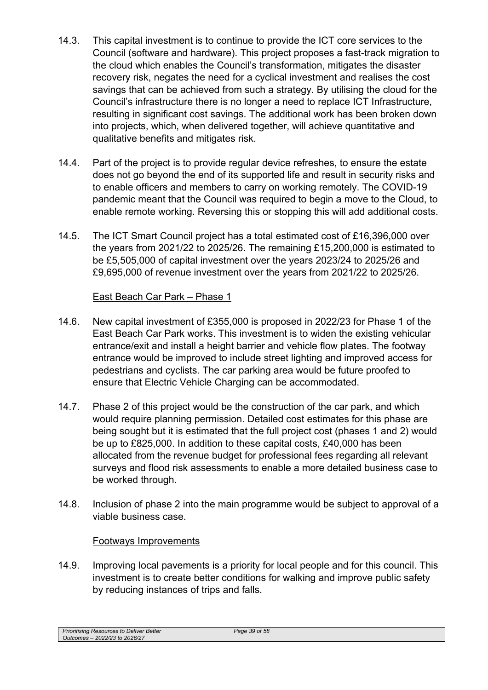- 14.3. This capital investment is to continue to provide the ICT core services to the Council (software and hardware). This project proposes a fast-track migration to the cloud which enables the Council's transformation, mitigates the disaster recovery risk, negates the need for a cyclical investment and realises the cost savings that can be achieved from such a strategy. By utilising the cloud for the Council's infrastructure there is no longer a need to replace ICT Infrastructure, resulting in significant cost savings. The additional work has been broken down into projects, which, when delivered together, will achieve quantitative and qualitative benefits and mitigates risk.
- 14.4. Part of the project is to provide regular device refreshes, to ensure the estate does not go beyond the end of its supported life and result in security risks and to enable officers and members to carry on working remotely. The COVID-19 pandemic meant that the Council was required to begin a move to the Cloud, to enable remote working. Reversing this or stopping this will add additional costs.
- 14.5. The ICT Smart Council project has a total estimated cost of £16,396,000 over the years from 2021/22 to 2025/26. The remaining £15,200,000 is estimated to be £5,505,000 of capital investment over the years 2023/24 to 2025/26 and £9,695,000 of revenue investment over the years from 2021/22 to 2025/26.

# East Beach Car Park – Phase 1

- 14.6. New capital investment of £355,000 is proposed in 2022/23 for Phase 1 of the East Beach Car Park works. This investment is to widen the existing vehicular entrance/exit and install a height barrier and vehicle flow plates. The footway entrance would be improved to include street lighting and improved access for pedestrians and cyclists. The car parking area would be future proofed to ensure that Electric Vehicle Charging can be accommodated.
- 14.7. Phase 2 of this project would be the construction of the car park, and which would require planning permission. Detailed cost estimates for this phase are being sought but it is estimated that the full project cost (phases 1 and 2) would be up to £825,000. In addition to these capital costs, £40,000 has been allocated from the revenue budget for professional fees regarding all relevant surveys and flood risk assessments to enable a more detailed business case to be worked through.
- 14.8. Inclusion of phase 2 into the main programme would be subject to approval of a viable business case.

## Footways Improvements

14.9. Improving local pavements is a priority for local people and for this council. This investment is to create better conditions for walking and improve public safety by reducing instances of trips and falls.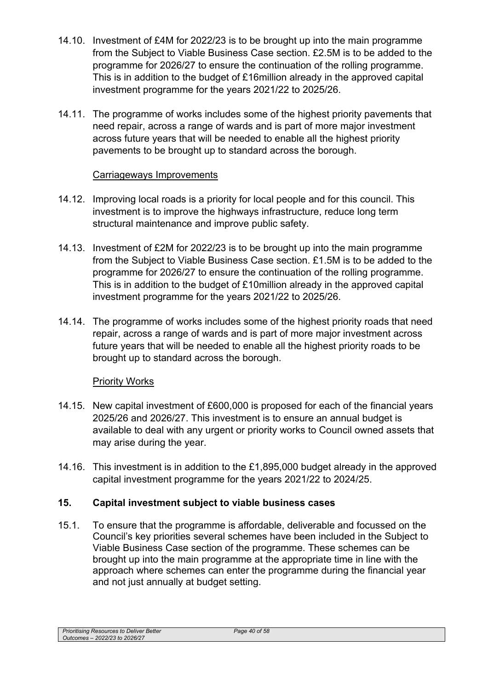- 14.10. Investment of £4M for 2022/23 is to be brought up into the main programme from the Subject to Viable Business Case section. £2.5M is to be added to the programme for 2026/27 to ensure the continuation of the rolling programme. This is in addition to the budget of £16million already in the approved capital investment programme for the years 2021/22 to 2025/26.
- 14.11. The programme of works includes some of the highest priority pavements that need repair, across a range of wards and is part of more major investment across future years that will be needed to enable all the highest priority pavements to be brought up to standard across the borough.

# Carriageways Improvements

- 14.12. Improving local roads is a priority for local people and for this council. This investment is to improve the highways infrastructure, reduce long term structural maintenance and improve public safety.
- 14.13. Investment of £2M for 2022/23 is to be brought up into the main programme from the Subject to Viable Business Case section. £1.5M is to be added to the programme for 2026/27 to ensure the continuation of the rolling programme. This is in addition to the budget of £10million already in the approved capital investment programme for the years 2021/22 to 2025/26.
- 14.14. The programme of works includes some of the highest priority roads that need repair, across a range of wards and is part of more major investment across future years that will be needed to enable all the highest priority roads to be brought up to standard across the borough.

# Priority Works

- 14.15. New capital investment of £600,000 is proposed for each of the financial years 2025/26 and 2026/27. This investment is to ensure an annual budget is available to deal with any urgent or priority works to Council owned assets that may arise during the year.
- 14.16. This investment is in addition to the £1,895,000 budget already in the approved capital investment programme for the years 2021/22 to 2024/25.

# **15. Capital investment subject to viable business cases**

15.1. To ensure that the programme is affordable, deliverable and focussed on the Council's key priorities several schemes have been included in the Subject to Viable Business Case section of the programme. These schemes can be brought up into the main programme at the appropriate time in line with the approach where schemes can enter the programme during the financial year and not just annually at budget setting.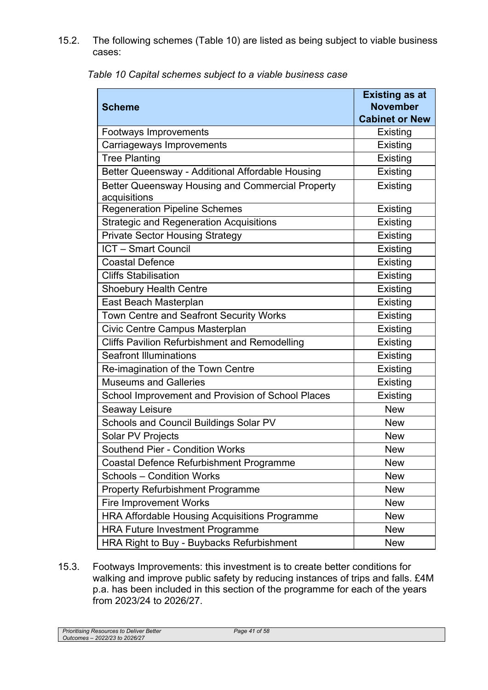15.2. The following schemes (Table 10) are listed as being subject to viable business cases:

| <b>Scheme</b>                                                    | <b>Existing as at</b><br><b>November</b> |
|------------------------------------------------------------------|------------------------------------------|
|                                                                  | <b>Cabinet or New</b>                    |
| <b>Footways Improvements</b>                                     | Existing                                 |
| Carriageways Improvements                                        | Existing                                 |
| <b>Tree Planting</b>                                             | Existing                                 |
| Better Queensway - Additional Affordable Housing                 | Existing                                 |
| Better Queensway Housing and Commercial Property<br>acquisitions | Existing                                 |
| <b>Regeneration Pipeline Schemes</b>                             | Existing                                 |
| <b>Strategic and Regeneration Acquisitions</b>                   | Existing                                 |
| <b>Private Sector Housing Strategy</b>                           | Existing                                 |
| <b>ICT - Smart Council</b>                                       | Existing                                 |
| <b>Coastal Defence</b>                                           | Existing                                 |
| <b>Cliffs Stabilisation</b>                                      | Existing                                 |
| <b>Shoebury Health Centre</b>                                    | Existing                                 |
| East Beach Masterplan                                            | Existing                                 |
| Town Centre and Seafront Security Works                          | Existing                                 |
| Civic Centre Campus Masterplan                                   | Existing                                 |
| <b>Cliffs Pavilion Refurbishment and Remodelling</b>             | Existing                                 |
| <b>Seafront Illuminations</b>                                    | Existing                                 |
| Re-imagination of the Town Centre                                | Existing                                 |
| <b>Museums and Galleries</b>                                     | Existing                                 |
| School Improvement and Provision of School Places                | Existing                                 |
| Seaway Leisure                                                   | <b>New</b>                               |
| Schools and Council Buildings Solar PV                           | <b>New</b>                               |
| Solar PV Projects                                                | <b>New</b>                               |
| Southend Pier - Condition Works                                  | <b>New</b>                               |
| <b>Coastal Defence Refurbishment Programme</b>                   | <b>New</b>                               |
| <b>Schools - Condition Works</b>                                 | <b>New</b>                               |
| <b>Property Refurbishment Programme</b>                          | <b>New</b>                               |
| <b>Fire Improvement Works</b>                                    | <b>New</b>                               |
| <b>HRA Affordable Housing Acquisitions Programme</b>             | <b>New</b>                               |
| <b>HRA Future Investment Programme</b>                           | <b>New</b>                               |
| HRA Right to Buy - Buybacks Refurbishment                        | <b>New</b>                               |

*Table 10 Capital schemes subject to a viable business case* 

15.3. Footways Improvements: this investment is to create better conditions for walking and improve public safety by reducing instances of trips and falls. £4M p.a. has been included in this section of the programme for each of the years from 2023/24 to 2026/27.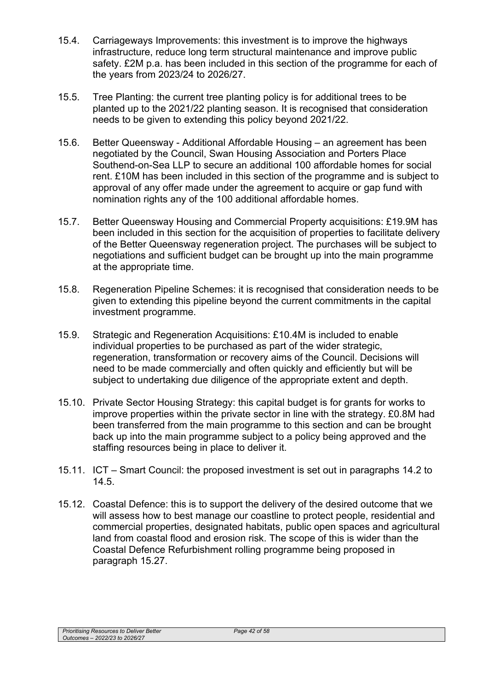- 15.4. Carriageways Improvements: this investment is to improve the highways infrastructure, reduce long term structural maintenance and improve public safety. £2M p.a. has been included in this section of the programme for each of the years from 2023/24 to 2026/27.
- 15.5. Tree Planting: the current tree planting policy is for additional trees to be planted up to the 2021/22 planting season. It is recognised that consideration needs to be given to extending this policy beyond 2021/22.
- 15.6. Better Queensway Additional Affordable Housing an agreement has been negotiated by the Council, Swan Housing Association and Porters Place Southend-on-Sea LLP to secure an additional 100 affordable homes for social rent. £10M has been included in this section of the programme and is subject to approval of any offer made under the agreement to acquire or gap fund with nomination rights any of the 100 additional affordable homes.
- 15.7. Better Queensway Housing and Commercial Property acquisitions: £19.9M has been included in this section for the acquisition of properties to facilitate delivery of the Better Queensway regeneration project. The purchases will be subject to negotiations and sufficient budget can be brought up into the main programme at the appropriate time.
- 15.8. Regeneration Pipeline Schemes: it is recognised that consideration needs to be given to extending this pipeline beyond the current commitments in the capital investment programme.
- 15.9. Strategic and Regeneration Acquisitions: £10.4M is included to enable individual properties to be purchased as part of the wider strategic, regeneration, transformation or recovery aims of the Council. Decisions will need to be made commercially and often quickly and efficiently but will be subject to undertaking due diligence of the appropriate extent and depth.
- 15.10. Private Sector Housing Strategy: this capital budget is for grants for works to improve properties within the private sector in line with the strategy. £0.8M had been transferred from the main programme to this section and can be brought back up into the main programme subject to a policy being approved and the staffing resources being in place to deliver it.
- 15.11. ICT Smart Council: the proposed investment is set out in paragraphs 14.2 to 14.5.
- 15.12. Coastal Defence: this is to support the delivery of the desired outcome that we will assess how to best manage our coastline to protect people, residential and commercial properties, designated habitats, public open spaces and agricultural land from coastal flood and erosion risk. The scope of this is wider than the Coastal Defence Refurbishment rolling programme being proposed in paragraph 15.27.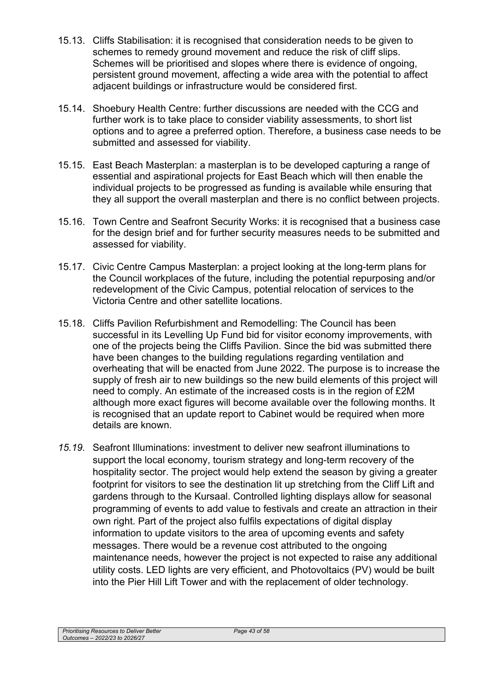- 15.13. Cliffs Stabilisation: it is recognised that consideration needs to be given to schemes to remedy ground movement and reduce the risk of cliff slips. Schemes will be prioritised and slopes where there is evidence of ongoing, persistent ground movement, affecting a wide area with the potential to affect adjacent buildings or infrastructure would be considered first.
- 15.14. Shoebury Health Centre: further discussions are needed with the CCG and further work is to take place to consider viability assessments, to short list options and to agree a preferred option. Therefore, a business case needs to be submitted and assessed for viability.
- 15.15. East Beach Masterplan: a masterplan is to be developed capturing a range of essential and aspirational projects for East Beach which will then enable the individual projects to be progressed as funding is available while ensuring that they all support the overall masterplan and there is no conflict between projects.
- 15.16. Town Centre and Seafront Security Works: it is recognised that a business case for the design brief and for further security measures needs to be submitted and assessed for viability.
- 15.17. Civic Centre Campus Masterplan: a project looking at the long-term plans for the Council workplaces of the future, including the potential repurposing and/or redevelopment of the Civic Campus, potential relocation of services to the Victoria Centre and other satellite locations.
- 15.18. Cliffs Pavilion Refurbishment and Remodelling: The Council has been successful in its Levelling Up Fund bid for visitor economy improvements, with one of the projects being the Cliffs Pavilion. Since the bid was submitted there have been changes to the building regulations regarding ventilation and overheating that will be enacted from June 2022. The purpose is to increase the supply of fresh air to new buildings so the new build elements of this project will need to comply. An estimate of the increased costs is in the region of £2M although more exact figures will become available over the following months. It is recognised that an update report to Cabinet would be required when more details are known.
- *15.19.* Seafront Illuminations: investment to deliver new seafront illuminations to support the local economy, tourism strategy and long-term recovery of the hospitality sector. The project would help extend the season by giving a greater footprint for visitors to see the destination lit up stretching from the Cliff Lift and gardens through to the Kursaal. Controlled lighting displays allow for seasonal programming of events to add value to festivals and create an attraction in their own right. Part of the project also fulfils expectations of digital display information to update visitors to the area of upcoming events and safety messages. There would be a revenue cost attributed to the ongoing maintenance needs, however the project is not expected to raise any additional utility costs. LED lights are very efficient, and Photovoltaics (PV) would be built into the Pier Hill Lift Tower and with the replacement of older technology.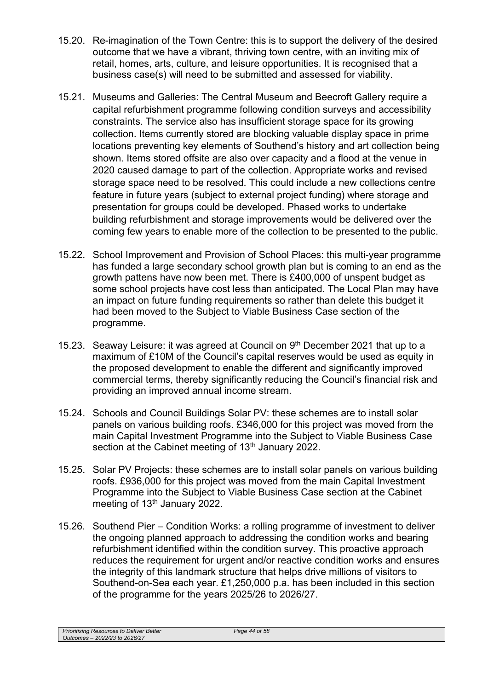- 15.20. Re-imagination of the Town Centre: this is to support the delivery of the desired outcome that we have a vibrant, thriving town centre, with an inviting mix of retail, homes, arts, culture, and leisure opportunities. It is recognised that a business case(s) will need to be submitted and assessed for viability.
- 15.21. Museums and Galleries: The Central Museum and Beecroft Gallery require a capital refurbishment programme following condition surveys and accessibility constraints. The service also has insufficient storage space for its growing collection. Items currently stored are blocking valuable display space in prime locations preventing key elements of Southend's history and art collection being shown. Items stored offsite are also over capacity and a flood at the venue in 2020 caused damage to part of the collection. Appropriate works and revised storage space need to be resolved. This could include a new collections centre feature in future years (subject to external project funding) where storage and presentation for groups could be developed. Phased works to undertake building refurbishment and storage improvements would be delivered over the coming few years to enable more of the collection to be presented to the public.
- 15.22. School Improvement and Provision of School Places: this multi-year programme has funded a large secondary school growth plan but is coming to an end as the growth pattens have now been met. There is £400,000 of unspent budget as some school projects have cost less than anticipated. The Local Plan may have an impact on future funding requirements so rather than delete this budget it had been moved to the Subject to Viable Business Case section of the programme.
- 15.23. Seaway Leisure: it was agreed at Council on 9<sup>th</sup> December 2021 that up to a maximum of £10M of the Council's capital reserves would be used as equity in the proposed development to enable the different and significantly improved commercial terms, thereby significantly reducing the Council's financial risk and providing an improved annual income stream.
- 15.24. Schools and Council Buildings Solar PV: these schemes are to install solar panels on various building roofs. £346,000 for this project was moved from the main Capital Investment Programme into the Subject to Viable Business Case section at the Cabinet meeting of 13<sup>th</sup> January 2022.
- 15.25. Solar PV Projects: these schemes are to install solar panels on various building roofs. £936,000 for this project was moved from the main Capital Investment Programme into the Subject to Viable Business Case section at the Cabinet meeting of 13<sup>th</sup> January 2022.
- 15.26. Southend Pier Condition Works: a rolling programme of investment to deliver the ongoing planned approach to addressing the condition works and bearing refurbishment identified within the condition survey. This proactive approach reduces the requirement for urgent and/or reactive condition works and ensures the integrity of this landmark structure that helps drive millions of visitors to Southend-on-Sea each year. £1,250,000 p.a. has been included in this section of the programme for the years 2025/26 to 2026/27.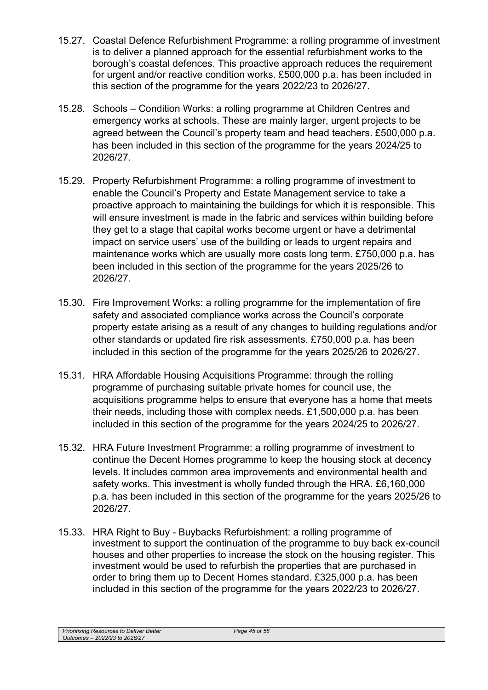- 15.27. Coastal Defence Refurbishment Programme: a rolling programme of investment is to deliver a planned approach for the essential refurbishment works to the borough's coastal defences. This proactive approach reduces the requirement for urgent and/or reactive condition works. £500,000 p.a. has been included in this section of the programme for the years 2022/23 to 2026/27.
- 15.28. Schools Condition Works: a rolling programme at Children Centres and emergency works at schools. These are mainly larger, urgent projects to be agreed between the Council's property team and head teachers. £500,000 p.a. has been included in this section of the programme for the years 2024/25 to 2026/27.
- 15.29. Property Refurbishment Programme: a rolling programme of investment to enable the Council's Property and Estate Management service to take a proactive approach to maintaining the buildings for which it is responsible. This will ensure investment is made in the fabric and services within building before they get to a stage that capital works become urgent or have a detrimental impact on service users' use of the building or leads to urgent repairs and maintenance works which are usually more costs long term. £750,000 p.a. has been included in this section of the programme for the years 2025/26 to 2026/27.
- 15.30. Fire Improvement Works: a rolling programme for the implementation of fire safety and associated compliance works across the Council's corporate property estate arising as a result of any changes to building regulations and/or other standards or updated fire risk assessments. £750,000 p.a. has been included in this section of the programme for the years 2025/26 to 2026/27.
- 15.31. HRA Affordable Housing Acquisitions Programme: through the rolling programme of purchasing suitable private homes for council use, the acquisitions programme helps to ensure that everyone has a home that meets their needs, including those with complex needs. £1,500,000 p.a. has been included in this section of the programme for the years 2024/25 to 2026/27.
- 15.32. HRA Future Investment Programme: a rolling programme of investment to continue the Decent Homes programme to keep the housing stock at decency levels. It includes common area improvements and environmental health and safety works. This investment is wholly funded through the HRA. £6,160,000 p.a. has been included in this section of the programme for the years 2025/26 to 2026/27.
- 15.33. HRA Right to Buy Buybacks Refurbishment: a rolling programme of investment to support the continuation of the programme to buy back ex-council houses and other properties to increase the stock on the housing register. This investment would be used to refurbish the properties that are purchased in order to bring them up to Decent Homes standard. £325,000 p.a. has been included in this section of the programme for the years 2022/23 to 2026/27.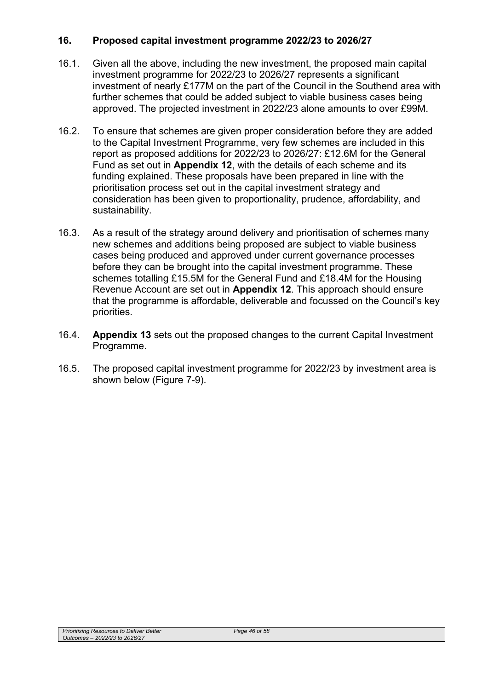## **16. Proposed capital investment programme 2022/23 to 2026/27**

- 16.1. Given all the above, including the new investment, the proposed main capital investment programme for 2022/23 to 2026/27 represents a significant investment of nearly £177M on the part of the Council in the Southend area with further schemes that could be added subject to viable business cases being approved. The projected investment in 2022/23 alone amounts to over £99M.
- 16.2. To ensure that schemes are given proper consideration before they are added to the Capital Investment Programme, very few schemes are included in this report as proposed additions for 2022/23 to 2026/27: £12.6M for the General Fund as set out in **Appendix 12**, with the details of each scheme and its funding explained. These proposals have been prepared in line with the prioritisation process set out in the capital investment strategy and consideration has been given to proportionality, prudence, affordability, and sustainability.
- 16.3. As a result of the strategy around delivery and prioritisation of schemes many new schemes and additions being proposed are subject to viable business cases being produced and approved under current governance processes before they can be brought into the capital investment programme. These schemes totalling £15.5M for the General Fund and £18.4M for the Housing Revenue Account are set out in **Appendix 12**. This approach should ensure that the programme is affordable, deliverable and focussed on the Council's key priorities.
- 16.4. **Appendix 13** sets out the proposed changes to the current Capital Investment Programme.
- 16.5. The proposed capital investment programme for 2022/23 by investment area is shown below (Figure 7-9).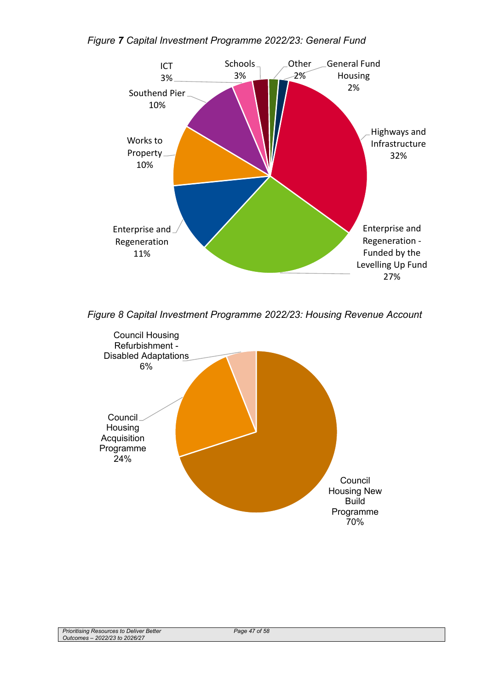### *Figure 7 Capital Investment Programme 2022/23: General Fund*



*Figure 8 Capital Investment Programme 2022/23: Housing Revenue Account* 

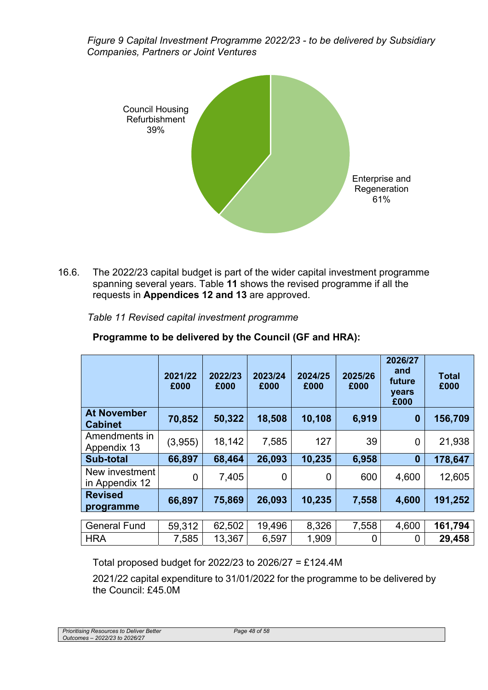*Figure 9 Capital Investment Programme 2022/23 - to be delivered by Subsidiary Companies, Partners or Joint Ventures* 



16.6. The 2022/23 capital budget is part of the wider capital investment programme spanning several years. Table **11** shows the revised programme if all the requests in **Appendices 12 and 13** are approved.

|                                      | 2021/22<br>£000 | 2022/23<br>£000 | 2023/24<br>£000 | 2024/25<br>£000 | 2025/26<br>£000 | 2026/27<br>and<br>future<br>years<br>£000 | <b>Total</b><br>£000 |
|--------------------------------------|-----------------|-----------------|-----------------|-----------------|-----------------|-------------------------------------------|----------------------|
| <b>At November</b><br><b>Cabinet</b> | 70,852          | 50,322          | 18,508          | 10,108          | 6,919           | $\boldsymbol{0}$                          | 156,709              |
| Amendments in<br>Appendix 13         | (3,955)         | 18,142          | 7,585           | 127             | 39              | $\overline{0}$                            | 21,938               |
| Sub-total                            | 66,897          | 68,464          | 26,093          | 10,235          | 6,958           | $\bf{0}$                                  | 178,647              |
| New investment<br>in Appendix 12     | $\overline{0}$  | 7,405           | 0               | 0               | 600             | 4,600                                     | 12,605               |
| <b>Revised</b><br>programme          | 66,897          | 75,869          | 26,093          | 10,235          | 7,558           | 4,600                                     | 191,252              |
| <b>General Fund</b>                  | 59,312          | 62,502          | 19,496          | 8,326           | 7,558           | 4,600                                     | 161,794              |
|                                      |                 |                 |                 |                 |                 |                                           |                      |
| <b>HRA</b>                           | 7,585           | 13,367          | 6,597           | 1,909           | 0               | 0                                         | 29,458               |

**Programme to be delivered by the Council (GF and HRA):** 

Total proposed budget for 2022/23 to 2026/27 = £124.4M

2021/22 capital expenditure to 31/01/2022 for the programme to be delivered by the Council: £45.0M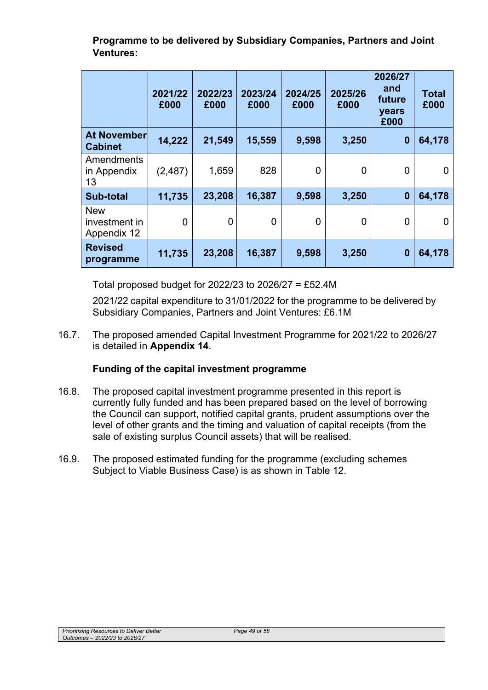**Programme to be delivered by Subsidiary Companies, Partners and Joint Ventures:** 

|                                                   | 2021/22<br>£000 | 2022/23<br>£000 | 2023/24<br>£000 | 2024/25<br>£000 | 2025/26<br>£000 | 2026/27<br>and<br>future<br>years<br>£000 | <b>Total</b><br>£000 |
|---------------------------------------------------|-----------------|-----------------|-----------------|-----------------|-----------------|-------------------------------------------|----------------------|
| <b>At November</b><br><b>Cabinet</b>              | 14,222          | 21,549          | 15,559          | 9,598           | 3,250           | $\bf{0}$                                  | 64,178               |
| <b>Amendments</b><br>in Appendix<br>13            | (2, 487)        | 1,659           | 828             | $\Omega$        | 0               | 0                                         | 0                    |
| <b>Sub-total</b>                                  | 11,735          | 23,208          | 16,387          | 9,598           | 3,250           | $\bf{0}$                                  | 64,178               |
| <b>New</b><br>investment in<br><b>Appendix 12</b> | $\overline{0}$  | 0               | $\overline{0}$  | $\overline{0}$  | 0               | 0                                         | 0                    |
| <b>Revised</b><br>programme                       | 11,735          | 23,208          | 16,387          | 9,598           | 3,250           | 0                                         | 64,178               |

Total proposed budget for 2022/23 to 2026/27 = £52.4M

2021/22 capital expenditure to 31/01/2022 for the programme to be delivered by Subsidiary Companies, Partners and Joint Ventures: £6.1M

16.7. The proposed amended Capital Investment Programme for 2021/22 to 2026/27 is detailed in **Appendix 14**.

# **Funding of the capital investment programme**

- 16.8. The proposed capital investment programme presented in this report is currently fully funded and has been prepared based on the level of borrowing the Council can support, notified capital grants, prudent assumptions over the level of other grants and the timing and valuation of capital receipts (from the sale of existing surplus Council assets) that will be realised.
- 16.9. The proposed estimated funding for the programme (excluding schemes Subject to Viable Business Case) is as shown in Table 12.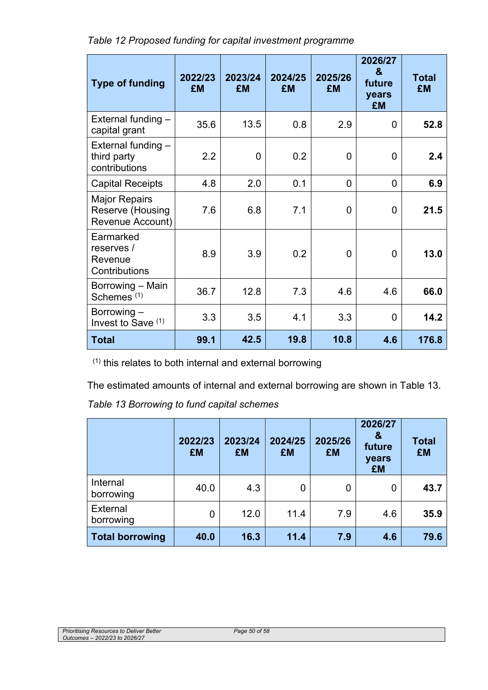*Table 12 Proposed funding for capital investment programme* 

| <b>Type of funding</b>                                       | 2022/23<br><b>£M</b> | 2023/24<br><b>£M</b> | 2024/25<br><b>£M</b> | 2025/26<br><b>£M</b> | 2026/27<br>$\mathbf{a}$<br>future<br>years<br><b>£M</b> | <b>Total</b><br><b>£M</b> |
|--------------------------------------------------------------|----------------------|----------------------|----------------------|----------------------|---------------------------------------------------------|---------------------------|
| External funding $-$<br>capital grant                        | 35.6                 | 13.5                 | 0.8                  | 2.9                  | 0                                                       | 52.8                      |
| External funding $-$<br>third party<br>contributions         | 2.2                  | 0                    | 0.2                  | $\overline{0}$       | 0                                                       | 2.4                       |
| <b>Capital Receipts</b>                                      | 4.8                  | 2.0                  | 0.1                  | 0                    | 0                                                       | 6.9                       |
| <b>Major Repairs</b><br>Reserve (Housing<br>Revenue Account) | 7.6                  | 6.8                  | 7.1                  | 0                    | 0                                                       | 21.5                      |
| Earmarked<br>reserves /<br>Revenue<br>Contributions          | 8.9                  | 3.9                  | 0.2                  | 0                    | 0                                                       | 13.0                      |
| Borrowing - Main<br>Schemes <sup>(1)</sup>                   | 36.7                 | 12.8                 | 7.3                  | 4.6                  | 4.6                                                     | 66.0                      |
| Borrowing -<br>Invest to Save (1)                            | 3.3                  | 3.5                  | 4.1                  | 3.3                  | 0                                                       | 14.2                      |
| <b>Total</b>                                                 | 99.1                 | 42.5                 | 19.8                 | 10.8                 | 4.6                                                     | 176.8                     |

 $(1)$  this relates to both internal and external borrowing

The estimated amounts of internal and external borrowing are shown in Table 13.

*Table 13 Borrowing to fund capital schemes* 

|                        | 2022/23<br><b>£M</b> | 2023/24<br><b>£M</b> | 2024/25<br>£M  | 2025/26<br><b>£M</b> | 2026/27<br>&<br>future<br>years<br><b>£M</b> | <b>Total</b><br><b>£M</b> |
|------------------------|----------------------|----------------------|----------------|----------------------|----------------------------------------------|---------------------------|
| Internal<br>borrowing  | 40.0                 | 4.3                  | $\overline{0}$ | 0                    | 0                                            | 43.7                      |
| External<br>borrowing  | 0                    | 12.0                 | 11.4           | 7.9                  | 4.6                                          | 35.9                      |
| <b>Total borrowing</b> | 40.0                 | 16.3                 | 11.4           | 7.9                  | 4.6                                          | 79.6                      |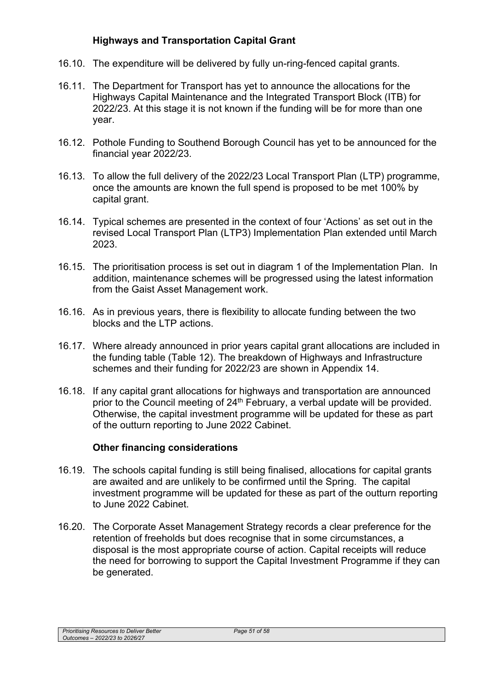## **Highways and Transportation Capital Grant**

- 16.10. The expenditure will be delivered by fully un-ring-fenced capital grants.
- 16.11. The Department for Transport has yet to announce the allocations for the Highways Capital Maintenance and the Integrated Transport Block (ITB) for 2022/23. At this stage it is not known if the funding will be for more than one year.
- 16.12. Pothole Funding to Southend Borough Council has yet to be announced for the financial year 2022/23.
- 16.13. To allow the full delivery of the 2022/23 Local Transport Plan (LTP) programme, once the amounts are known the full spend is proposed to be met 100% by capital grant.
- 16.14. Typical schemes are presented in the context of four 'Actions' as set out in the revised Local Transport Plan (LTP3) Implementation Plan extended until March 2023.
- 16.15. The prioritisation process is set out in diagram 1 of the Implementation Plan. In addition, maintenance schemes will be progressed using the latest information from the Gaist Asset Management work.
- 16.16. As in previous years, there is flexibility to allocate funding between the two blocks and the LTP actions.
- 16.17. Where already announced in prior years capital grant allocations are included in the funding table (Table 12). The breakdown of Highways and Infrastructure schemes and their funding for 2022/23 are shown in Appendix 14.
- 16.18. If any capital grant allocations for highways and transportation are announced prior to the Council meeting of 24<sup>th</sup> February, a verbal update will be provided. Otherwise, the capital investment programme will be updated for these as part of the outturn reporting to June 2022 Cabinet.

#### **Other financing considerations**

- 16.19. The schools capital funding is still being finalised, allocations for capital grants are awaited and are unlikely to be confirmed until the Spring. The capital investment programme will be updated for these as part of the outturn reporting to June 2022 Cabinet.
- 16.20. The Corporate Asset Management Strategy records a clear preference for the retention of freeholds but does recognise that in some circumstances, a disposal is the most appropriate course of action. Capital receipts will reduce the need for borrowing to support the Capital Investment Programme if they can be generated.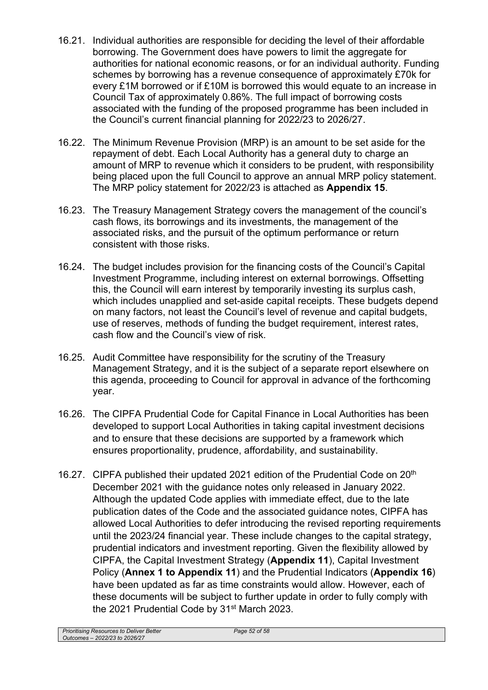- 16.21. Individual authorities are responsible for deciding the level of their affordable borrowing. The Government does have powers to limit the aggregate for authorities for national economic reasons, or for an individual authority. Funding schemes by borrowing has a revenue consequence of approximately £70k for every £1M borrowed or if £10M is borrowed this would equate to an increase in Council Tax of approximately 0.86%. The full impact of borrowing costs associated with the funding of the proposed programme has been included in the Council's current financial planning for 2022/23 to 2026/27.
- 16.22. The Minimum Revenue Provision (MRP) is an amount to be set aside for the repayment of debt. Each Local Authority has a general duty to charge an amount of MRP to revenue which it considers to be prudent, with responsibility being placed upon the full Council to approve an annual MRP policy statement. The MRP policy statement for 2022/23 is attached as **Appendix 15**.
- 16.23. The Treasury Management Strategy covers the management of the council's cash flows, its borrowings and its investments, the management of the associated risks, and the pursuit of the optimum performance or return consistent with those risks.
- 16.24. The budget includes provision for the financing costs of the Council's Capital Investment Programme, including interest on external borrowings. Offsetting this, the Council will earn interest by temporarily investing its surplus cash, which includes unapplied and set-aside capital receipts. These budgets depend on many factors, not least the Council's level of revenue and capital budgets, use of reserves, methods of funding the budget requirement, interest rates, cash flow and the Council's view of risk.
- 16.25. Audit Committee have responsibility for the scrutiny of the Treasury Management Strategy, and it is the subject of a separate report elsewhere on this agenda, proceeding to Council for approval in advance of the forthcoming year.
- 16.26. The CIPFA Prudential Code for Capital Finance in Local Authorities has been developed to support Local Authorities in taking capital investment decisions and to ensure that these decisions are supported by a framework which ensures proportionality, prudence, affordability, and sustainability.
- 16.27. CIPFA published their updated 2021 edition of the Prudential Code on 20<sup>th</sup> December 2021 with the guidance notes only released in January 2022. Although the updated Code applies with immediate effect, due to the late publication dates of the Code and the associated guidance notes, CIPFA has allowed Local Authorities to defer introducing the revised reporting requirements until the 2023/24 financial year. These include changes to the capital strategy, prudential indicators and investment reporting. Given the flexibility allowed by CIPFA, the Capital Investment Strategy (**Appendix 11**), Capital Investment Policy (**Annex 1 to Appendix 11**) and the Prudential Indicators (**Appendix 16**) have been updated as far as time constraints would allow. However, each of these documents will be subject to further update in order to fully comply with the 2021 Prudential Code by 31<sup>st</sup> March 2023.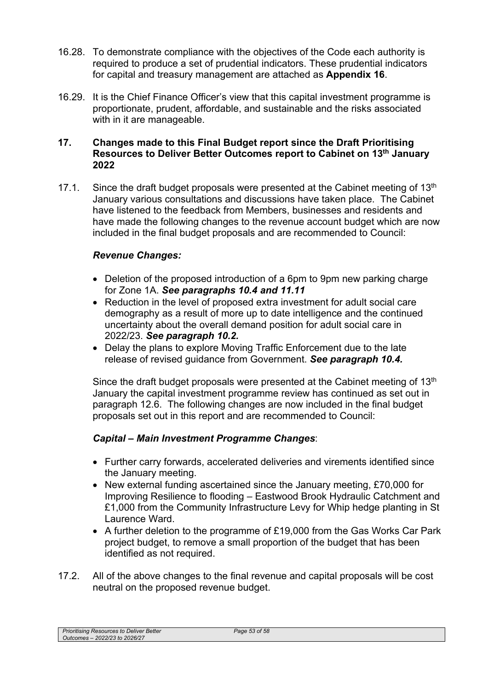- 16.28. To demonstrate compliance with the objectives of the Code each authority is required to produce a set of prudential indicators. These prudential indicators for capital and treasury management are attached as **Appendix 16**.
- 16.29. It is the Chief Finance Officer's view that this capital investment programme is proportionate, prudent, affordable, and sustainable and the risks associated with in it are manageable.

### **17. Changes made to this Final Budget report since the Draft Prioritising Resources to Deliver Better Outcomes report to Cabinet on 13th January 2022**

17.1. Since the draft budget proposals were presented at the Cabinet meeting of  $13<sup>th</sup>$ January various consultations and discussions have taken place. The Cabinet have listened to the feedback from Members, businesses and residents and have made the following changes to the revenue account budget which are now included in the final budget proposals and are recommended to Council:

# *Revenue Changes:*

- Deletion of the proposed introduction of a 6pm to 9pm new parking charge for Zone 1A. *See paragraphs 10.4 and 11.11*
- Reduction in the level of proposed extra investment for adult social care demography as a result of more up to date intelligence and the continued uncertainty about the overall demand position for adult social care in 2022/23. *See paragraph 10.2.*
- Delay the plans to explore Moving Traffic Enforcement due to the late release of revised guidance from Government. *See paragraph 10.4.*

Since the draft budget proposals were presented at the Cabinet meeting of  $13<sup>th</sup>$ January the capital investment programme review has continued as set out in paragraph 12.6. The following changes are now included in the final budget proposals set out in this report and are recommended to Council:

## *Capital – Main Investment Programme Changes*:

- Further carry forwards, accelerated deliveries and virements identified since the January meeting.
- New external funding ascertained since the January meeting, £70,000 for Improving Resilience to flooding – Eastwood Brook Hydraulic Catchment and £1,000 from the Community Infrastructure Levy for Whip hedge planting in St Laurence Ward.
- A further deletion to the programme of £19,000 from the Gas Works Car Park project budget, to remove a small proportion of the budget that has been identified as not required.
- 17.2. All of the above changes to the final revenue and capital proposals will be cost neutral on the proposed revenue budget.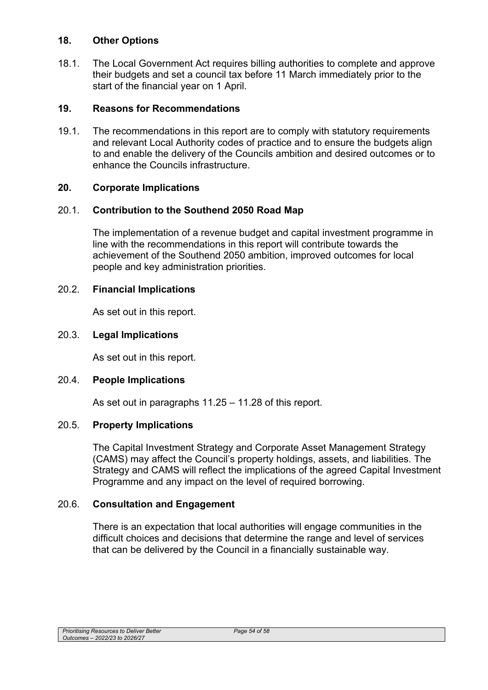### **18. Other Options**

18.1. The Local Government Act requires billing authorities to complete and approve their budgets and set a council tax before 11 March immediately prior to the start of the financial year on 1 April.

### **19. Reasons for Recommendations**

19.1. The recommendations in this report are to comply with statutory requirements and relevant Local Authority codes of practice and to ensure the budgets align to and enable the delivery of the Councils ambition and desired outcomes or to enhance the Councils infrastructure.

#### **20. Corporate Implications**

#### 20.1. **Contribution to the Southend 2050 Road Map**

The implementation of a revenue budget and capital investment programme in line with the recommendations in this report will contribute towards the achievement of the Southend 2050 ambition, improved outcomes for local people and key administration priorities.

### 20.2. **Financial Implications**

As set out in this report.

### 20.3. **Legal Implications**

As set out in this report.

#### 20.4. **People Implications**

As set out in paragraphs 11.25 – 11.28 of this report.

#### 20.5. **Property Implications**

The Capital Investment Strategy and Corporate Asset Management Strategy (CAMS) may affect the Council's property holdings, assets, and liabilities. The Strategy and CAMS will reflect the implications of the agreed Capital Investment Programme and any impact on the level of required borrowing.

#### 20.6. **Consultation and Engagement**

There is an expectation that local authorities will engage communities in the difficult choices and decisions that determine the range and level of services that can be delivered by the Council in a financially sustainable way.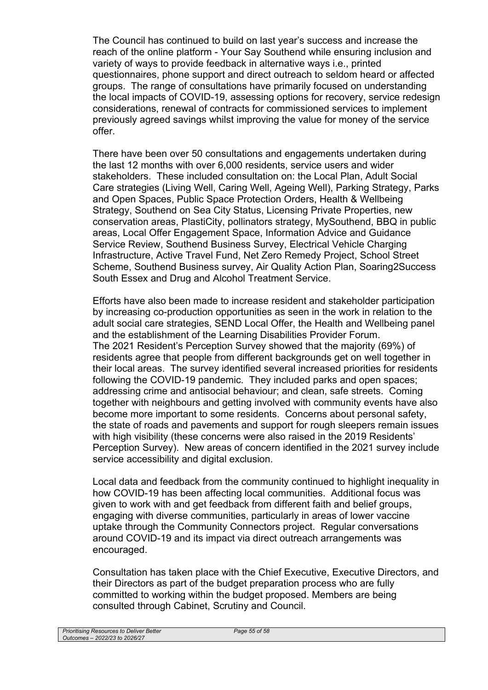The Council has continued to build on last year's success and increase the reach of the online platform - Your Say Southend while ensuring inclusion and variety of ways to provide feedback in alternative ways i.e., printed questionnaires, phone support and direct outreach to seldom heard or affected groups. The range of consultations have primarily focused on understanding the local impacts of COVID-19, assessing options for recovery, service redesign considerations, renewal of contracts for commissioned services to implement previously agreed savings whilst improving the value for money of the service offer.

There have been over 50 consultations and engagements undertaken during the last 12 months with over 6,000 residents, service users and wider stakeholders. These included consultation on: the Local Plan, Adult Social Care strategies (Living Well, Caring Well, Ageing Well), Parking Strategy, Parks and Open Spaces, Public Space Protection Orders, Health & Wellbeing Strategy, Southend on Sea City Status, Licensing Private Properties, new conservation areas, PlastiCity, pollinators strategy, MySouthend, BBQ in public areas, Local Offer Engagement Space, Information Advice and Guidance Service Review, Southend Business Survey, Electrical Vehicle Charging Infrastructure, Active Travel Fund, Net Zero Remedy Project, School Street Scheme, Southend Business survey, Air Quality Action Plan, Soaring2Success South Essex and Drug and Alcohol Treatment Service.

Efforts have also been made to increase resident and stakeholder participation by increasing co-production opportunities as seen in the work in relation to the adult social care strategies, SEND Local Offer, the Health and Wellbeing panel and the establishment of the Learning Disabilities Provider Forum. The 2021 Resident's Perception Survey showed that the majority (69%) of residents agree that people from different backgrounds get on well together in their local areas. The survey identified several increased priorities for residents following the COVID-19 pandemic. They included parks and open spaces; addressing crime and antisocial behaviour; and clean, safe streets. Coming together with neighbours and getting involved with community events have also become more important to some residents. Concerns about personal safety, the state of roads and pavements and support for rough sleepers remain issues with high visibility (these concerns were also raised in the 2019 Residents' Perception Survey). New areas of concern identified in the 2021 survey include service accessibility and digital exclusion.

Local data and feedback from the community continued to highlight inequality in how COVID-19 has been affecting local communities. Additional focus was given to work with and get feedback from different faith and belief groups, engaging with diverse communities, particularly in areas of lower vaccine uptake through the Community Connectors project. Regular conversations around COVID-19 and its impact via direct outreach arrangements was encouraged.

Consultation has taken place with the Chief Executive, Executive Directors, and their Directors as part of the budget preparation process who are fully committed to working within the budget proposed. Members are being consulted through Cabinet, Scrutiny and Council.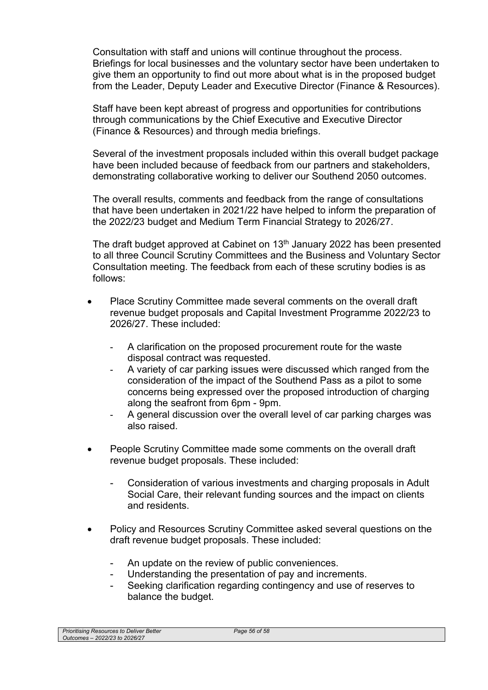Consultation with staff and unions will continue throughout the process. Briefings for local businesses and the voluntary sector have been undertaken to give them an opportunity to find out more about what is in the proposed budget from the Leader, Deputy Leader and Executive Director (Finance & Resources).

Staff have been kept abreast of progress and opportunities for contributions through communications by the Chief Executive and Executive Director (Finance & Resources) and through media briefings.

Several of the investment proposals included within this overall budget package have been included because of feedback from our partners and stakeholders, demonstrating collaborative working to deliver our Southend 2050 outcomes.

The overall results, comments and feedback from the range of consultations that have been undertaken in 2021/22 have helped to inform the preparation of the 2022/23 budget and Medium Term Financial Strategy to 2026/27.

The draft budget approved at Cabinet on 13<sup>th</sup> January 2022 has been presented to all three Council Scrutiny Committees and the Business and Voluntary Sector Consultation meeting. The feedback from each of these scrutiny bodies is as follows:

- Place Scrutiny Committee made several comments on the overall draft revenue budget proposals and Capital Investment Programme 2022/23 to 2026/27. These included:
	- A clarification on the proposed procurement route for the waste disposal contract was requested.
	- A variety of car parking issues were discussed which ranged from the consideration of the impact of the Southend Pass as a pilot to some concerns being expressed over the proposed introduction of charging along the seafront from 6pm - 9pm.
	- A general discussion over the overall level of car parking charges was also raised.
- People Scrutiny Committee made some comments on the overall draft revenue budget proposals. These included:
	- Consideration of various investments and charging proposals in Adult Social Care, their relevant funding sources and the impact on clients and residents.
- Policy and Resources Scrutiny Committee asked several questions on the draft revenue budget proposals. These included:
	- An update on the review of public conveniences.
	- Understanding the presentation of pay and increments.
	- Seeking clarification regarding contingency and use of reserves to balance the budget.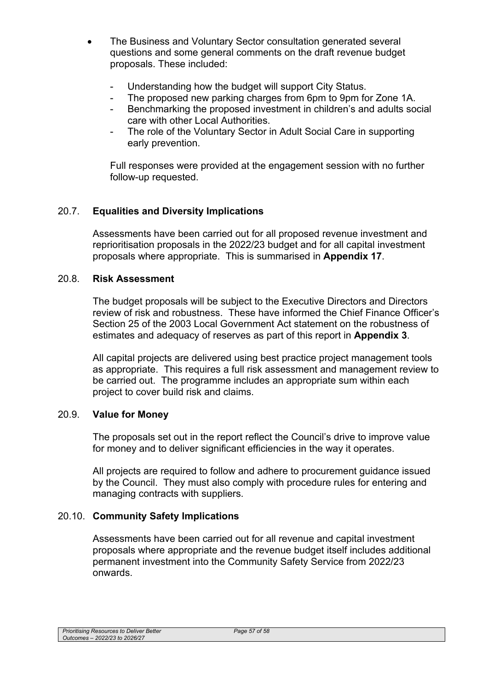- The Business and Voluntary Sector consultation generated several questions and some general comments on the draft revenue budget proposals. These included:
	- Understanding how the budget will support City Status.
	- The proposed new parking charges from 6pm to 9pm for Zone 1A.
	- Benchmarking the proposed investment in children's and adults social care with other Local Authorities.
	- The role of the Voluntary Sector in Adult Social Care in supporting early prevention.

Full responses were provided at the engagement session with no further follow-up requested.

# 20.7. **Equalities and Diversity Implications**

Assessments have been carried out for all proposed revenue investment and reprioritisation proposals in the 2022/23 budget and for all capital investment proposals where appropriate. This is summarised in **Appendix 17**.

#### 20.8. **Risk Assessment**

The budget proposals will be subject to the Executive Directors and Directors review of risk and robustness. These have informed the Chief Finance Officer's Section 25 of the 2003 Local Government Act statement on the robustness of estimates and adequacy of reserves as part of this report in **Appendix 3**.

All capital projects are delivered using best practice project management tools as appropriate. This requires a full risk assessment and management review to be carried out. The programme includes an appropriate sum within each project to cover build risk and claims.

#### 20.9. **Value for Money**

The proposals set out in the report reflect the Council's drive to improve value for money and to deliver significant efficiencies in the way it operates.

All projects are required to follow and adhere to procurement guidance issued by the Council. They must also comply with procedure rules for entering and managing contracts with suppliers.

## 20.10. **Community Safety Implications**

Assessments have been carried out for all revenue and capital investment proposals where appropriate and the revenue budget itself includes additional permanent investment into the Community Safety Service from 2022/23 onwards.